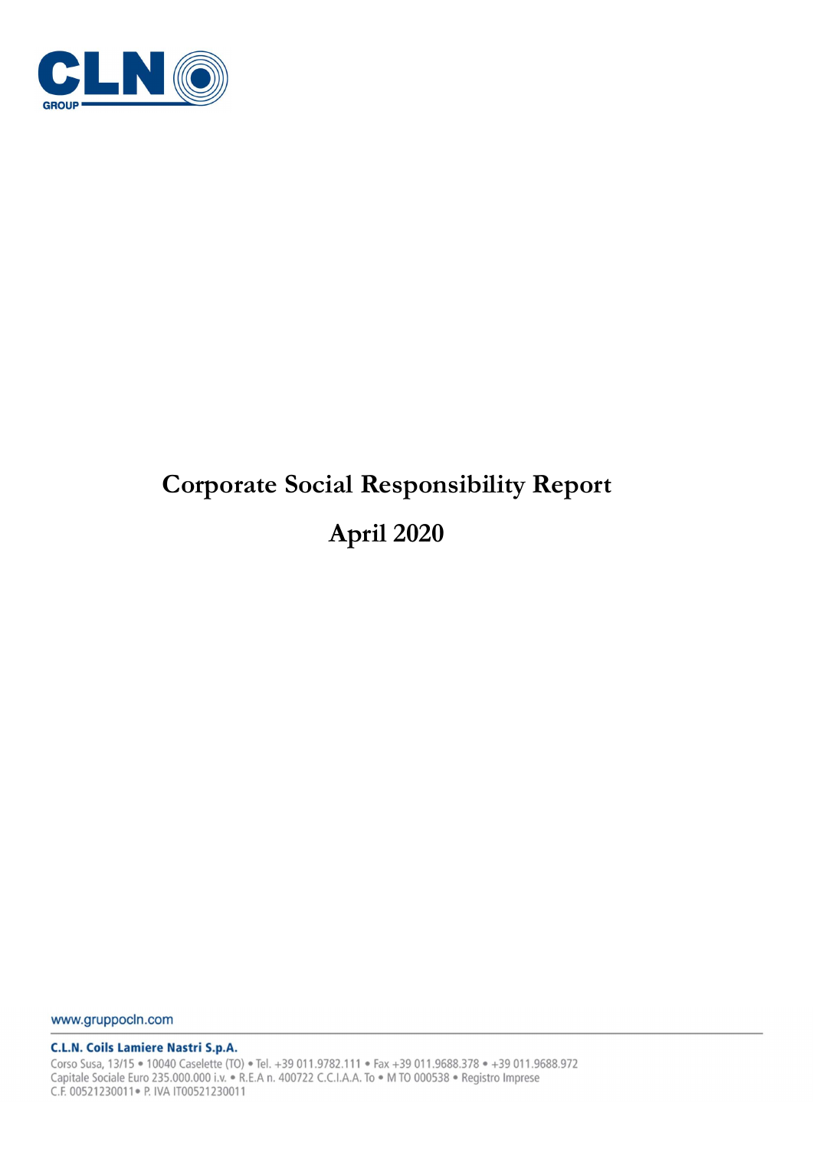

# Corporate Social Responsibility Report April 2020

www.gruppocln.com

**C.L.N. Coils Lamiere Nastri S.p.A.** 

Corso Susa, 13/15 · 10040 Caselette (TO) · Tel. +39 011.9782.111 · Fax +39 011.9688.378 · +39 011.9688.972 Capitale Sociale Euro 235.000.000 i.v. • R.E.A n. 400722 C.C.I.A.A. To • M TO 000538 • Registro Imprese C.F. 00521230011 · P. IVA IT00521230011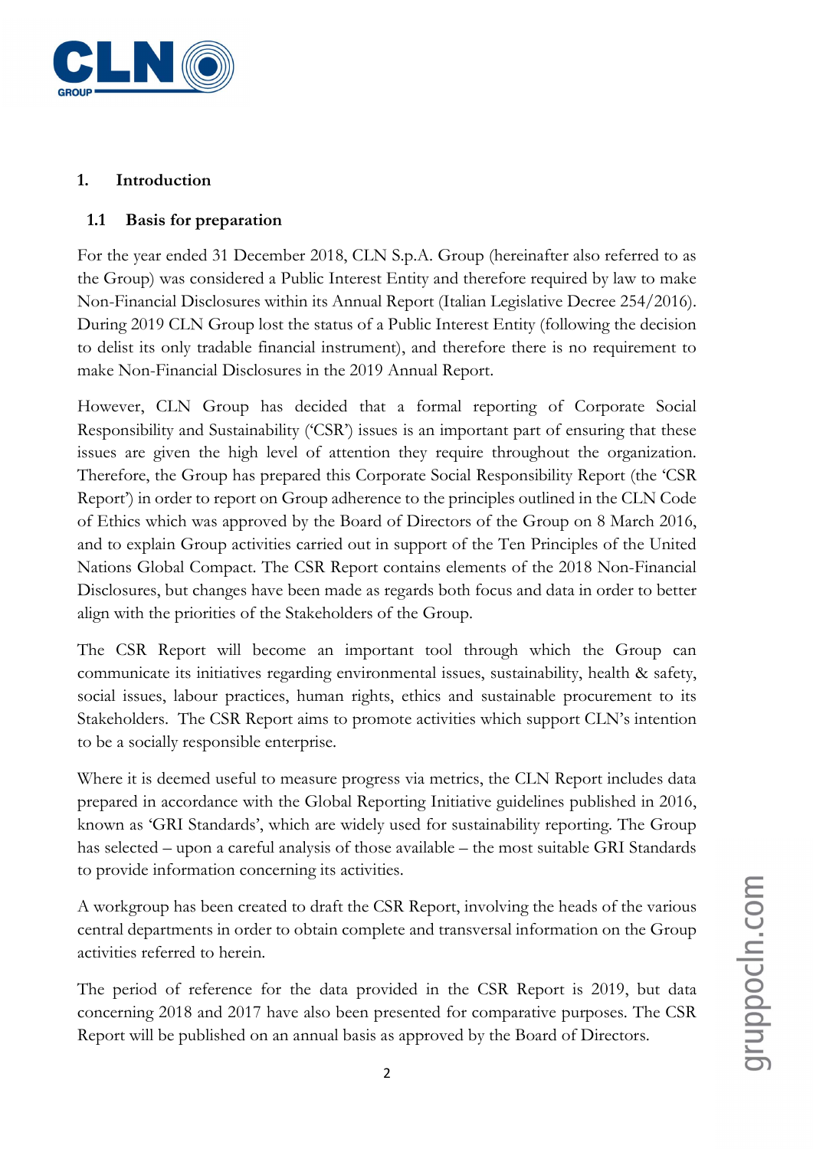

# 1. Introduction

# 1.1 Basis for preparation

For the year ended 31 December 2018, CLN S.p.A. Group (hereinafter also referred to as the Group) was considered a Public Interest Entity and therefore required by law to make Non-Financial Disclosures within its Annual Report (Italian Legislative Decree 254/2016). During 2019 CLN Group lost the status of a Public Interest Entity (following the decision to delist its only tradable financial instrument), and therefore there is no requirement to make Non-Financial Disclosures in the 2019 Annual Report.

However, CLN Group has decided that a formal reporting of Corporate Social Responsibility and Sustainability ('CSR') issues is an important part of ensuring that these issues are given the high level of attention they require throughout the organization. Therefore, the Group has prepared this Corporate Social Responsibility Report (the 'CSR Report') in order to report on Group adherence to the principles outlined in the CLN Code of Ethics which was approved by the Board of Directors of the Group on 8 March 2016, and to explain Group activities carried out in support of the Ten Principles of the United Nations Global Compact. The CSR Report contains elements of the 2018 Non-Financial Disclosures, but changes have been made as regards both focus and data in order to better align with the priorities of the Stakeholders of the Group.

The CSR Report will become an important tool through which the Group can communicate its initiatives regarding environmental issues, sustainability, health & safety, social issues, labour practices, human rights, ethics and sustainable procurement to its Stakeholders. The CSR Report aims to promote activities which support CLN's intention to be a socially responsible enterprise.

Where it is deemed useful to measure progress via metrics, the CLN Report includes data prepared in accordance with the Global Reporting Initiative guidelines published in 2016, known as 'GRI Standards', which are widely used for sustainability reporting. The Group has selected – upon a careful analysis of those available – the most suitable GRI Standards to provide information concerning its activities.

A workgroup has been created to draft the CSR Report, involving the heads of the various central departments in order to obtain complete and transversal information on the Group activities referred to herein.

The period of reference for the data provided in the CSR Report is 2019, but data concerning 2018 and 2017 have also been presented for comparative purposes. The CSR Report will be published on an annual basis as approved by the Board of Directors.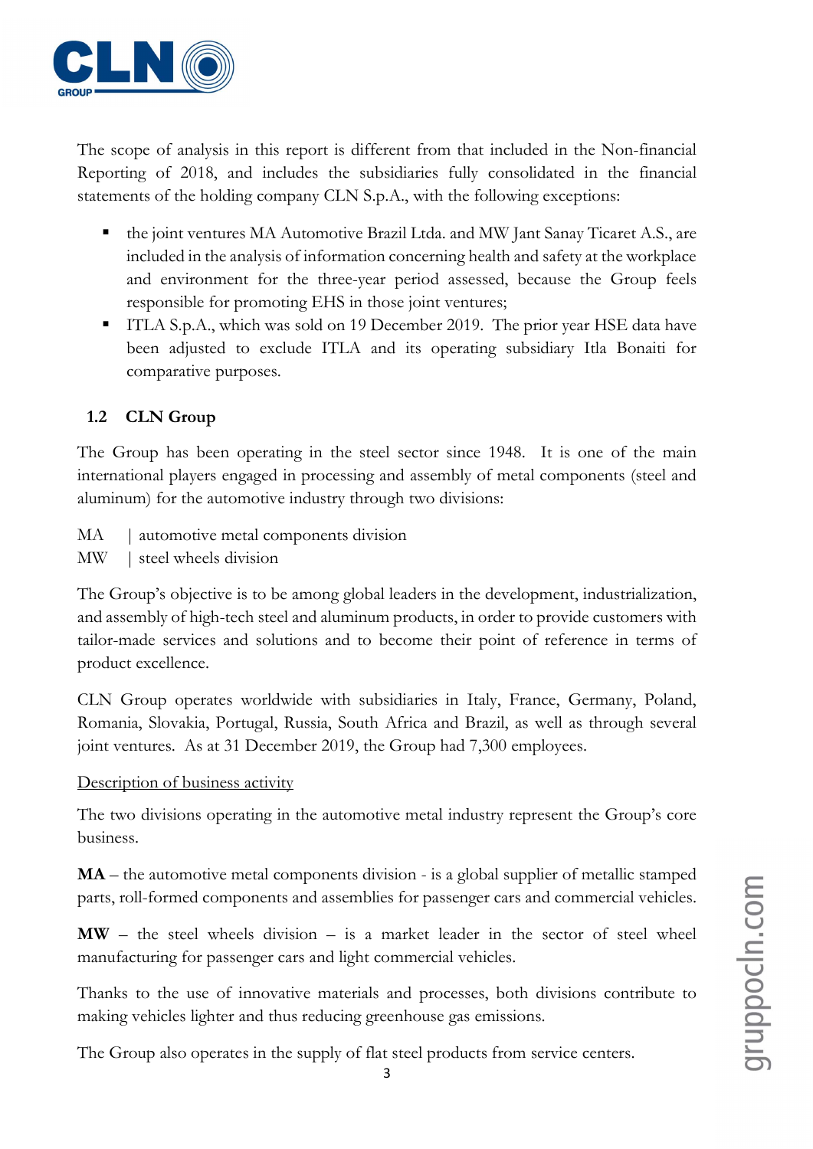

The scope of analysis in this report is different from that included in the Non-financial Reporting of 2018, and includes the subsidiaries fully consolidated in the financial statements of the holding company CLN S.p.A., with the following exceptions:

- the joint ventures MA Automotive Brazil Ltda. and MW Jant Sanay Ticaret A.S., are included in the analysis of information concerning health and safety at the workplace and environment for the three-year period assessed, because the Group feels responsible for promoting EHS in those joint ventures;
- ITLA S.p.A., which was sold on 19 December 2019. The prior year HSE data have been adjusted to exclude ITLA and its operating subsidiary Itla Bonaiti for comparative purposes.

# 1.2 CLN Group

The Group has been operating in the steel sector since 1948. It is one of the main international players engaged in processing and assembly of metal components (steel and aluminum) for the automotive industry through two divisions:

- MA | automotive metal components division
- MW | steel wheels division

The Group's objective is to be among global leaders in the development, industrialization, and assembly of high-tech steel and aluminum products, in order to provide customers with tailor-made services and solutions and to become their point of reference in terms of product excellence.

CLN Group operates worldwide with subsidiaries in Italy, France, Germany, Poland, Romania, Slovakia, Portugal, Russia, South Africa and Brazil, as well as through several joint ventures. As at 31 December 2019, the Group had 7,300 employees.

#### Description of business activity

The two divisions operating in the automotive metal industry represent the Group's core business.

MA – the automotive metal components division - is a global supplier of metallic stamped parts, roll-formed components and assemblies for passenger cars and commercial vehicles.

 $MW -$  the steel wheels division  $-$  is a market leader in the sector of steel wheel manufacturing for passenger cars and light commercial vehicles.

Thanks to the use of innovative materials and processes, both divisions contribute to making vehicles lighter and thus reducing greenhouse gas emissions.

The Group also operates in the supply of flat steel products from service centers.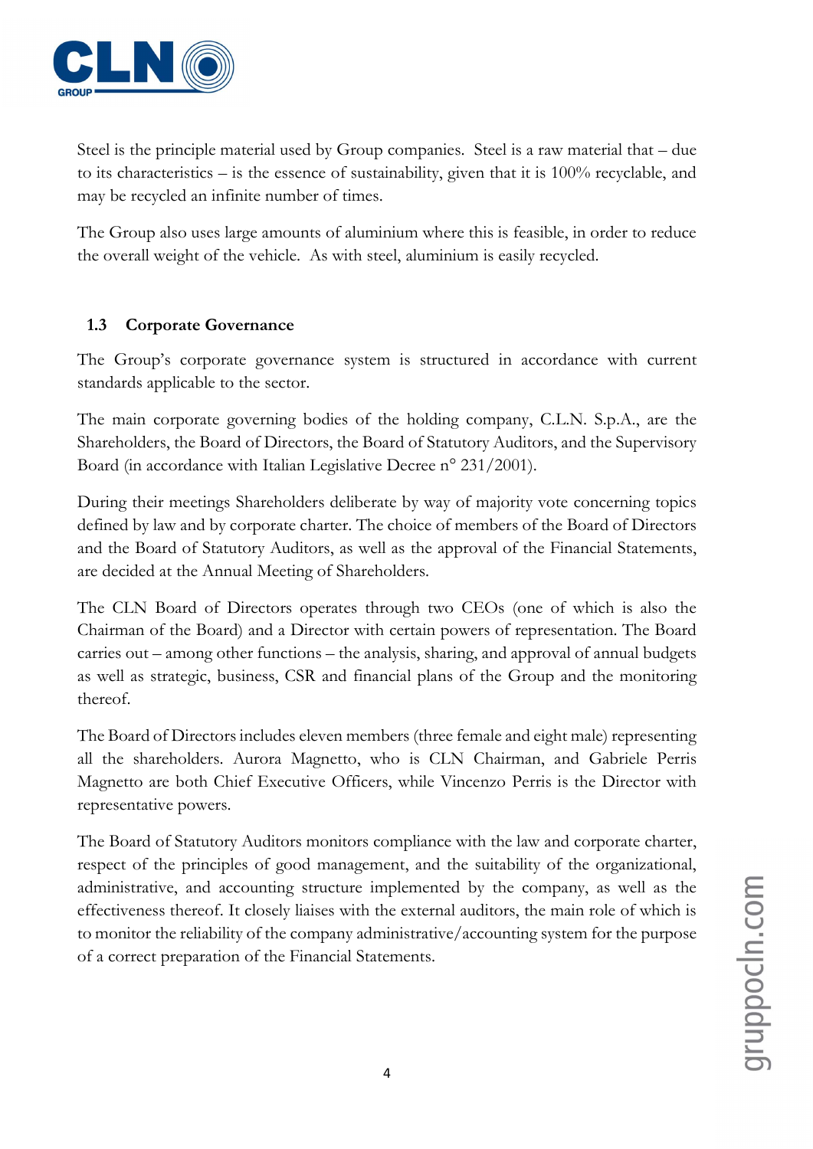

Steel is the principle material used by Group companies. Steel is a raw material that – due to its characteristics – is the essence of sustainability, given that it is 100% recyclable, and may be recycled an infinite number of times.

The Group also uses large amounts of aluminium where this is feasible, in order to reduce the overall weight of the vehicle. As with steel, aluminium is easily recycled.

# 1.3 Corporate Governance

The Group's corporate governance system is structured in accordance with current standards applicable to the sector.

The main corporate governing bodies of the holding company, C.L.N. S.p.A., are the Shareholders, the Board of Directors, the Board of Statutory Auditors, and the Supervisory Board (in accordance with Italian Legislative Decree n° 231/2001).

During their meetings Shareholders deliberate by way of majority vote concerning topics defined by law and by corporate charter. The choice of members of the Board of Directors and the Board of Statutory Auditors, as well as the approval of the Financial Statements, are decided at the Annual Meeting of Shareholders.

The CLN Board of Directors operates through two CEOs (one of which is also the Chairman of the Board) and a Director with certain powers of representation. The Board carries out – among other functions – the analysis, sharing, and approval of annual budgets as well as strategic, business, CSR and financial plans of the Group and the monitoring thereof.

The Board of Directors includes eleven members (three female and eight male) representing all the shareholders. Aurora Magnetto, who is CLN Chairman, and Gabriele Perris Magnetto are both Chief Executive Officers, while Vincenzo Perris is the Director with representative powers.

The Board of Statutory Auditors monitors compliance with the law and corporate charter, respect of the principles of good management, and the suitability of the organizational, administrative, and accounting structure implemented by the company, as well as the effectiveness thereof. It closely liaises with the external auditors, the main role of which is to monitor the reliability of the company administrative/accounting system for the purpose of a correct preparation of the Financial Statements.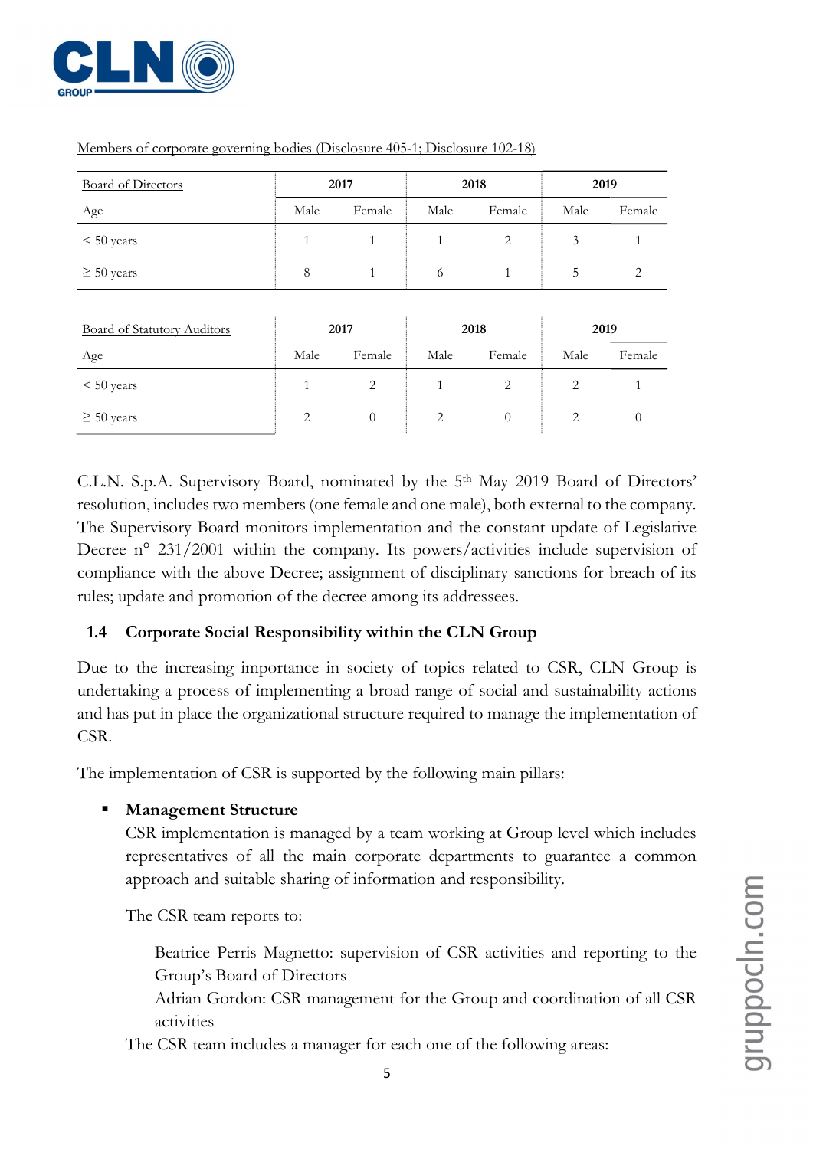

| <b>Board of Directors</b>          | 2017 |        |      | 2018   |      | 2019   |
|------------------------------------|------|--------|------|--------|------|--------|
| Age                                | Male | Female | Male | Female | Male | Female |
| $< 50$ years                       | 1    | 1      | 1    | 2      | 3    |        |
| $\geq 50$ years                    | 8    | 1      | 6    | 1      | 5    | 2      |
|                                    |      |        |      |        |      |        |
| <b>Board of Statutory Auditors</b> |      | 2017   |      | 2018   |      | 2019   |
| Age                                | Male | Female | Male | Female | Male | Female |
| $< 50$ years                       |      | 2      |      | 2      | 2    |        |

 $\geq$  50 years 2 0 2 0 2 0 2 0 2 0

Members of corporate governing bodies (Disclosure 405-1; Disclosure 102-18)

C.L.N. S.p.A. Supervisory Board, nominated by the 5th May 2019 Board of Directors' resolution, includes two members (one female and one male), both external to the company. The Supervisory Board monitors implementation and the constant update of Legislative Decree n° 231/2001 within the company. Its powers/activities include supervision of compliance with the above Decree; assignment of disciplinary sanctions for breach of its rules; update and promotion of the decree among its addressees.

# 1.4 Corporate Social Responsibility within the CLN Group

Due to the increasing importance in society of topics related to CSR, CLN Group is undertaking a process of implementing a broad range of social and sustainability actions and has put in place the organizational structure required to manage the implementation of CSR.

The implementation of CSR is supported by the following main pillars:

# **Management Structure**

CSR implementation is managed by a team working at Group level which includes representatives of all the main corporate departments to guarantee a common approach and suitable sharing of information and responsibility.

The CSR team reports to:

- Beatrice Perris Magnetto: supervision of CSR activities and reporting to the Group's Board of Directors
- Adrian Gordon: CSR management for the Group and coordination of all CSR activities

The CSR team includes a manager for each one of the following areas: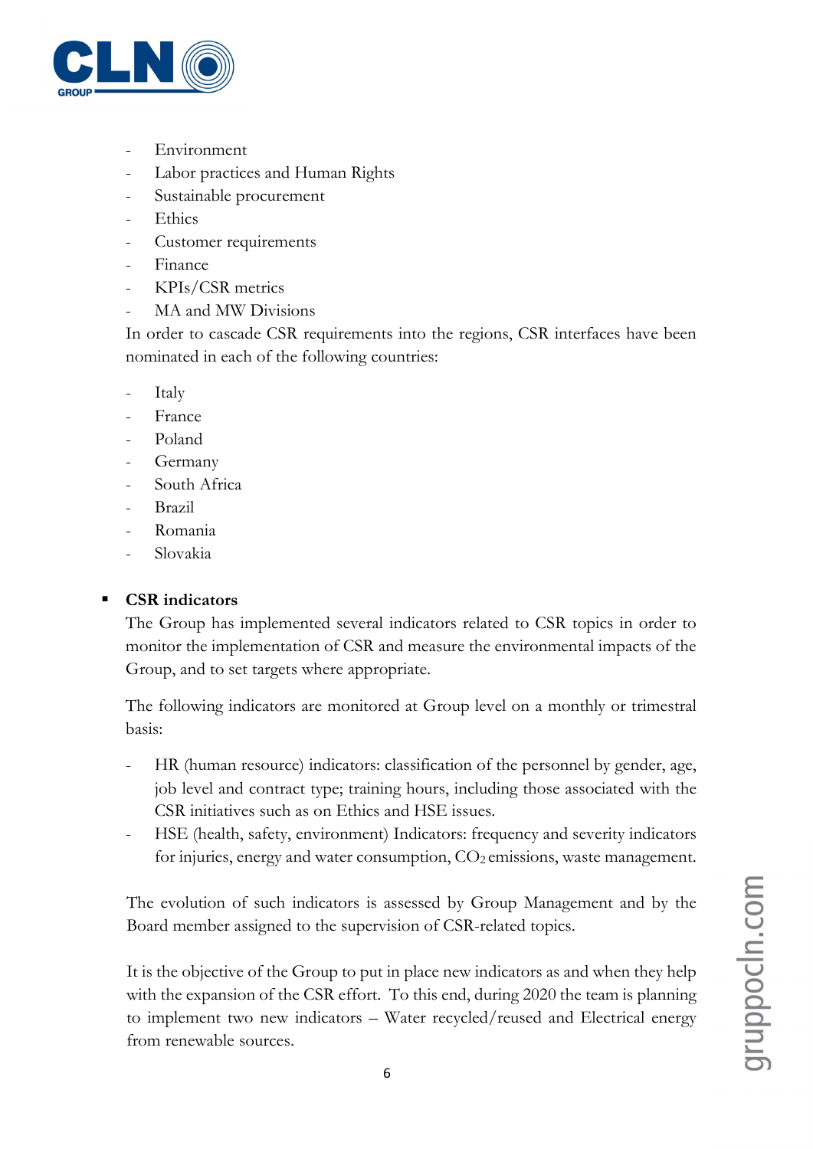

- Environment
- Labor practices and Human Rights
- Sustainable procurement
- **Ethics**
- Customer requirements
- Finance
- KPIs/CSR metrics
- MA and MW Divisions

In order to cascade CSR requirements into the regions, CSR interfaces have been nominated in each of the following countries:

- **Italy**
- **France**
- Poland
- **Germany**
- South Africa
- **Brazil**
- Romania
- Slovakia

# CSR indicators

The Group has implemented several indicators related to CSR topics in order to monitor the implementation of CSR and measure the environmental impacts of the Group, and to set targets where appropriate.

The following indicators are monitored at Group level on a monthly or trimestral basis:

- HR (human resource) indicators: classification of the personnel by gender, age, job level and contract type; training hours, including those associated with the CSR initiatives such as on Ethics and HSE issues.
- HSE (health, safety, environment) Indicators: frequency and severity indicators for injuries, energy and water consumption,  $CO<sub>2</sub>$  emissions, waste management.

The evolution of such indicators is assessed by Group Management and by the Board member assigned to the supervision of CSR-related topics.

It is the objective of the Group to put in place new indicators as and when they help with the expansion of the CSR effort. To this end, during 2020 the team is planning to implement two new indicators – Water recycled/reused and Electrical energy from renewable sources.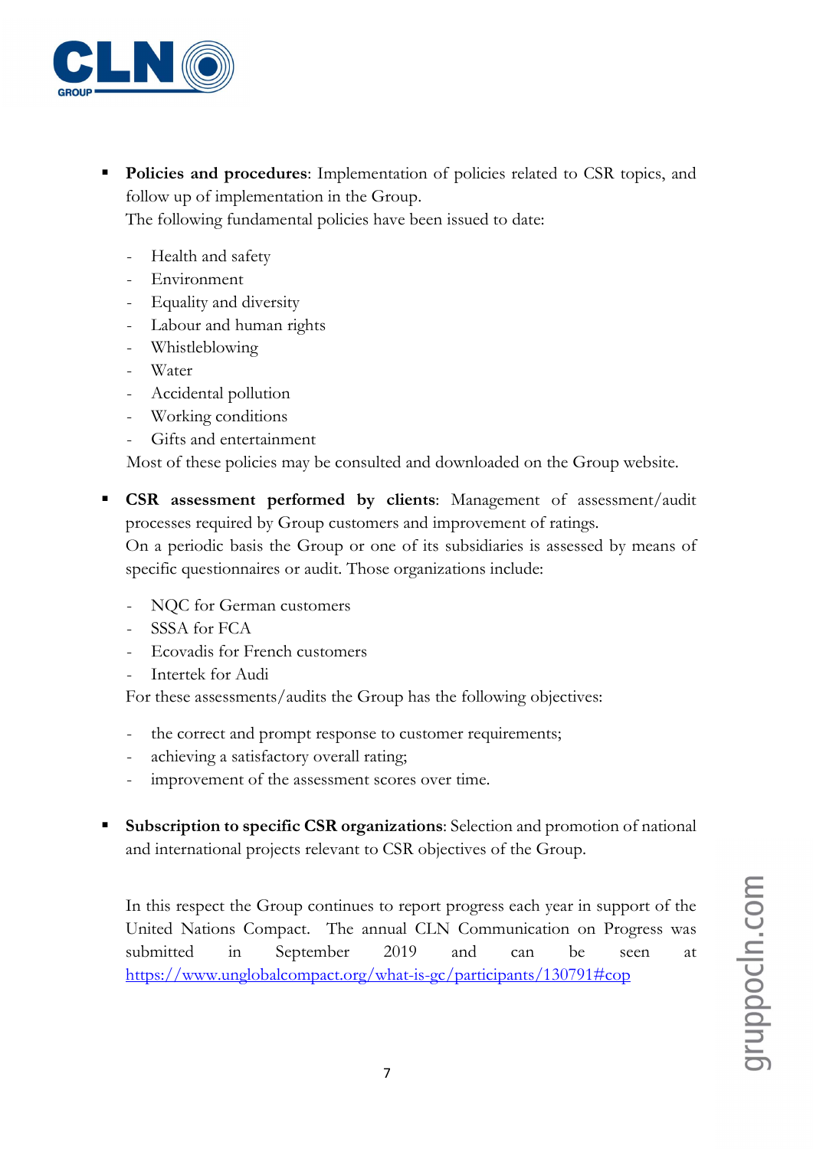

Policies and procedures: Implementation of policies related to CSR topics, and follow up of implementation in the Group.

The following fundamental policies have been issued to date:

- Health and safety
- **Environment**
- Equality and diversity
- Labour and human rights
- Whistleblowing
- Water
- Accidental pollution
- Working conditions
- Gifts and entertainment

Most of these policies may be consulted and downloaded on the Group website.

- **CSR** assessment performed by clients: Management of assessment/audit processes required by Group customers and improvement of ratings. On a periodic basis the Group or one of its subsidiaries is assessed by means of specific questionnaires or audit. Those organizations include:
	- NQC for German customers
	- SSSA for FCA
	- Ecovadis for French customers
	- Intertek for Audi

For these assessments/audits the Group has the following objectives:

- the correct and prompt response to customer requirements;
- achieving a satisfactory overall rating;
- improvement of the assessment scores over time.
- Subscription to specific CSR organizations: Selection and promotion of national and international projects relevant to CSR objectives of the Group.

In this respect the Group continues to report progress each year in support of the United Nations Compact. The annual CLN Communication on Progress was submitted in September 2019 and can be seen at https://www.unglobalcompact.org/what-is-gc/participants/130791#cop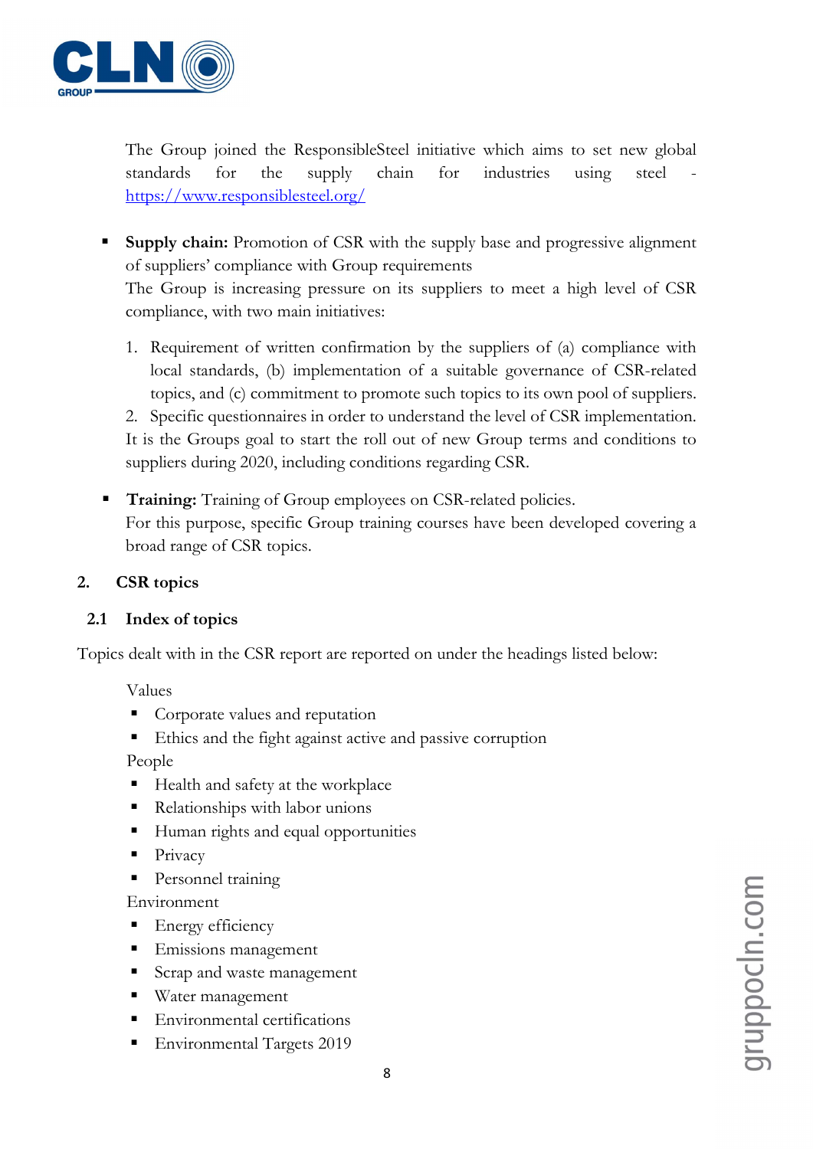

The Group joined the ResponsibleSteel initiative which aims to set new global standards for the supply chain for industries using steel https://www.responsiblesteel.org/

**Supply chain:** Promotion of CSR with the supply base and progressive alignment of suppliers' compliance with Group requirements

The Group is increasing pressure on its suppliers to meet a high level of CSR compliance, with two main initiatives:

1. Requirement of written confirmation by the suppliers of (a) compliance with local standards, (b) implementation of a suitable governance of CSR-related topics, and (c) commitment to promote such topics to its own pool of suppliers.

2. Specific questionnaires in order to understand the level of CSR implementation. It is the Groups goal to start the roll out of new Group terms and conditions to suppliers during 2020, including conditions regarding CSR.

**Training:** Training of Group employees on CSR-related policies. For this purpose, specific Group training courses have been developed covering a broad range of CSR topics.

# 2. CSR topics

# 2.1 Index of topics

Topics dealt with in the CSR report are reported on under the headings listed below:

Values

- **Corporate values and reputation**
- Ethics and the fight against active and passive corruption

People

- Health and safety at the workplace
- Relationships with labor unions
- Human rights and equal opportunities
- Privacy
- Personnel training

Environment

- Energy efficiency
- Emissions management
- Scrap and waste management
- Water management
- Environmental certifications
- Environmental Targets 2019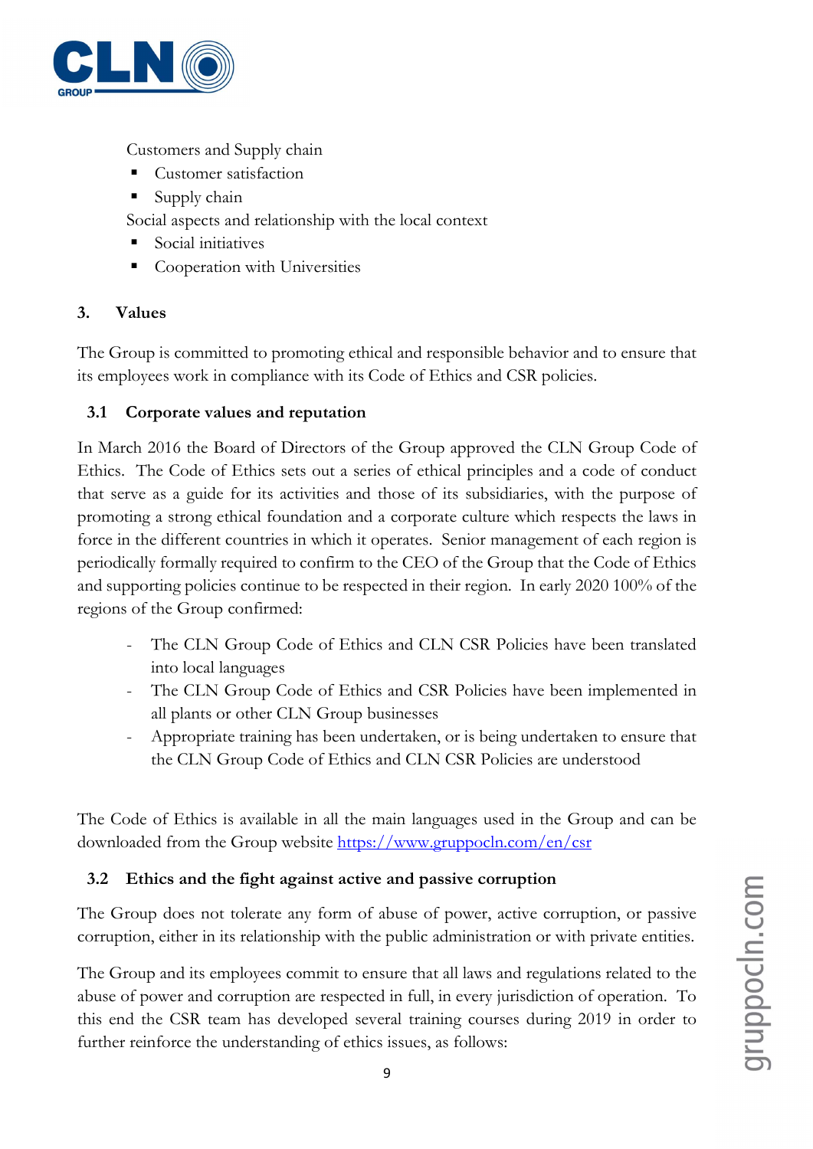

Customers and Supply chain

- Customer satisfaction
- $\blacksquare$  Supply chain

Social aspects and relationship with the local context

- Social initiatives
- Cooperation with Universities

# 3. Values

The Group is committed to promoting ethical and responsible behavior and to ensure that its employees work in compliance with its Code of Ethics and CSR policies.

# 3.1 Corporate values and reputation

In March 2016 the Board of Directors of the Group approved the CLN Group Code of Ethics. The Code of Ethics sets out a series of ethical principles and a code of conduct that serve as a guide for its activities and those of its subsidiaries, with the purpose of promoting a strong ethical foundation and a corporate culture which respects the laws in force in the different countries in which it operates. Senior management of each region is periodically formally required to confirm to the CEO of the Group that the Code of Ethics and supporting policies continue to be respected in their region. In early 2020 100% of the regions of the Group confirmed:

- The CLN Group Code of Ethics and CLN CSR Policies have been translated into local languages
- The CLN Group Code of Ethics and CSR Policies have been implemented in all plants or other CLN Group businesses
- Appropriate training has been undertaken, or is being undertaken to ensure that the CLN Group Code of Ethics and CLN CSR Policies are understood

The Code of Ethics is available in all the main languages used in the Group and can be downloaded from the Group website https://www.gruppocln.com/en/csr

# 3.2 Ethics and the fight against active and passive corruption

The Group does not tolerate any form of abuse of power, active corruption, or passive corruption, either in its relationship with the public administration or with private entities.

The Group and its employees commit to ensure that all laws and regulations related to the abuse of power and corruption are respected in full, in every jurisdiction of operation. To this end the CSR team has developed several training courses during 2019 in order to further reinforce the understanding of ethics issues, as follows: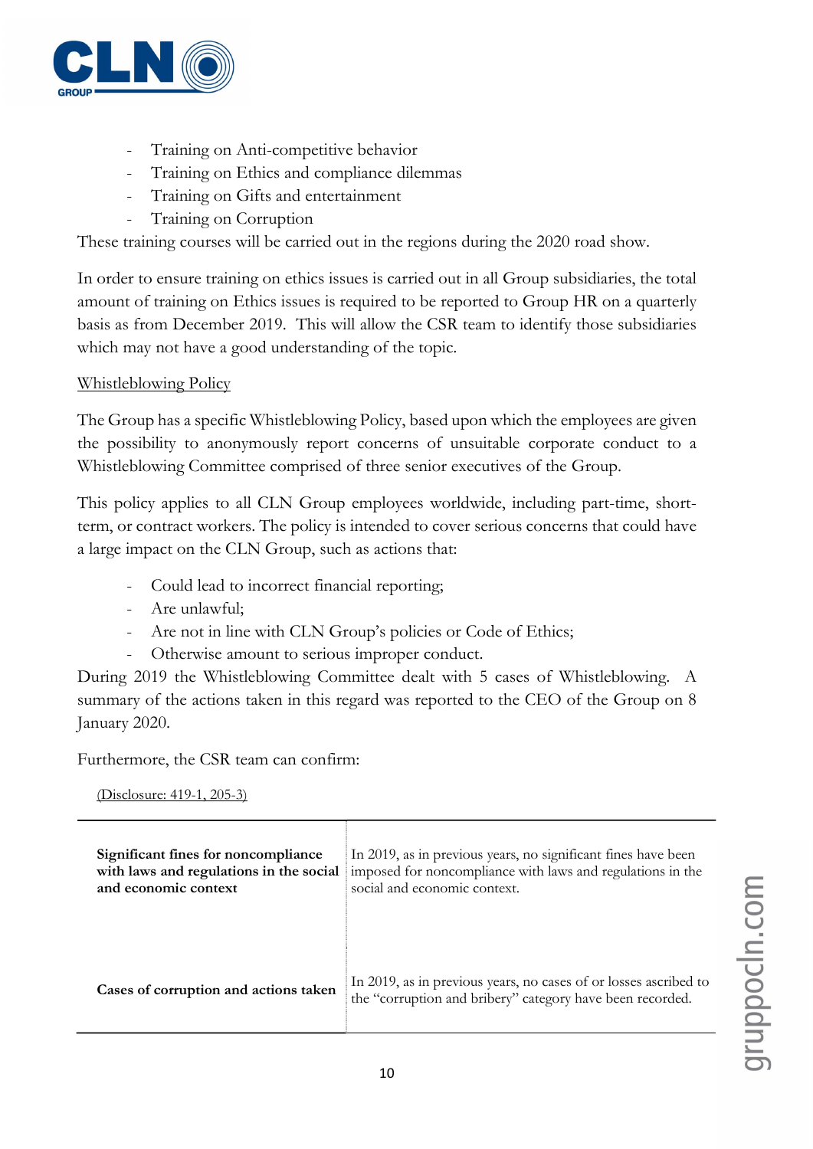

- Training on Anti-competitive behavior
- Training on Ethics and compliance dilemmas
- Training on Gifts and entertainment
- Training on Corruption

These training courses will be carried out in the regions during the 2020 road show.

In order to ensure training on ethics issues is carried out in all Group subsidiaries, the total amount of training on Ethics issues is required to be reported to Group HR on a quarterly basis as from December 2019. This will allow the CSR team to identify those subsidiaries which may not have a good understanding of the topic.

# Whistleblowing Policy

The Group has a specific Whistleblowing Policy, based upon which the employees are given the possibility to anonymously report concerns of unsuitable corporate conduct to a Whistleblowing Committee comprised of three senior executives of the Group.

This policy applies to all CLN Group employees worldwide, including part-time, shortterm, or contract workers. The policy is intended to cover serious concerns that could have a large impact on the CLN Group, such as actions that:

- Could lead to incorrect financial reporting;
- Are unlawful;
- Are not in line with CLN Group's policies or Code of Ethics;
- Otherwise amount to serious improper conduct.

During 2019 the Whistleblowing Committee dealt with 5 cases of Whistleblowing. A summary of the actions taken in this regard was reported to the CEO of the Group on 8 January 2020.

Furthermore, the CSR team can confirm:

(Disclosure: 419-1, 205-3)

| Significant fines for noncompliance     | In 2019, as in previous years, no significant fines have been                                                                 |
|-----------------------------------------|-------------------------------------------------------------------------------------------------------------------------------|
| with laws and regulations in the social | imposed for noncompliance with laws and regulations in the                                                                    |
| and economic context                    | social and economic context.                                                                                                  |
| Cases of corruption and actions taken   | In 2019, as in previous years, no cases of or losses ascribed to<br>the "corruption and bribery" category have been recorded. |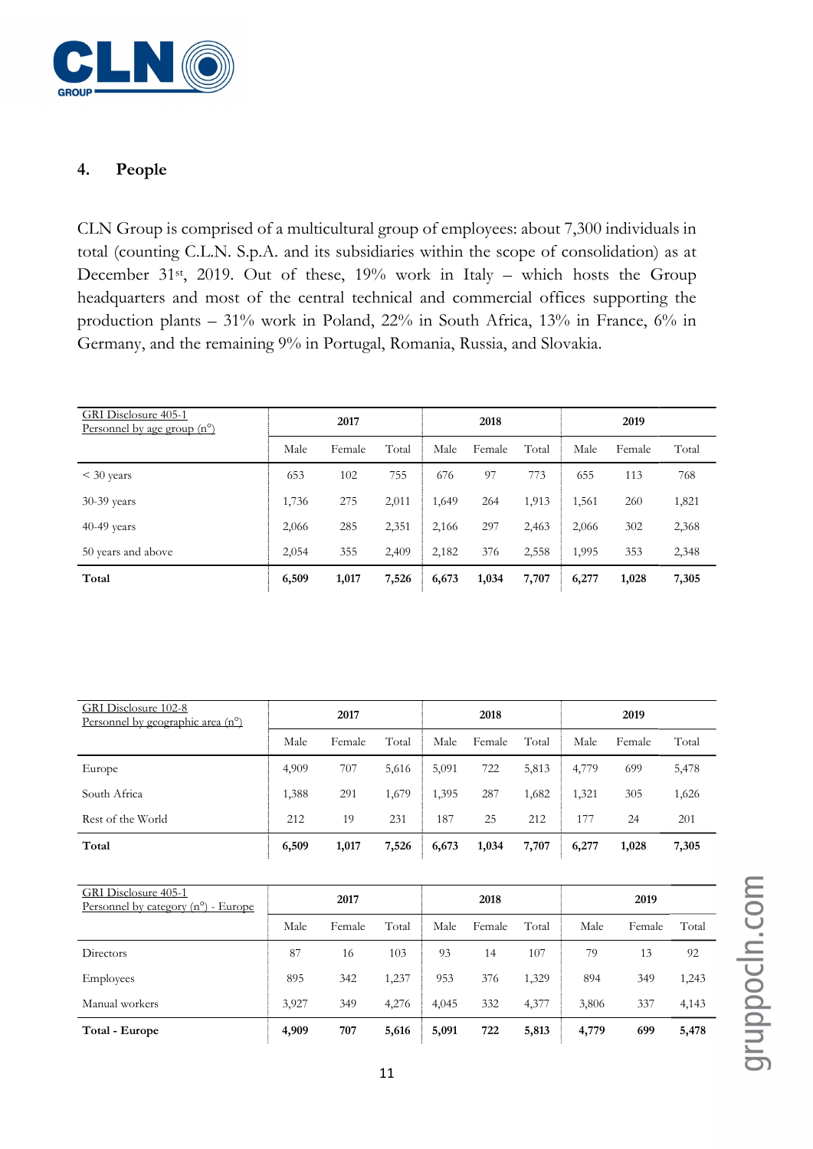

#### 4. People

CLN Group is comprised of a multicultural group of employees: about 7,300 individuals in total (counting C.L.N. S.p.A. and its subsidiaries within the scope of consolidation) as at December 31<sup>st</sup>, 2019. Out of these, 19% work in Italy – which hosts the Group headquarters and most of the central technical and commercial offices supporting the production plants – 31% work in Poland, 22% in South Africa, 13% in France, 6% in Germany, and the remaining 9% in Portugal, Romania, Russia, and Slovakia.

| GRI Disclosure 405-1<br><u>Personnel by age group <math>(n^{\circ})</math></u> | 2017  |        |       |       | 2018   |       |       | 2019   |       |  |
|--------------------------------------------------------------------------------|-------|--------|-------|-------|--------|-------|-------|--------|-------|--|
|                                                                                | Male  | Female | Total | Male  | Female | Total | Male  | Female | Total |  |
| $<$ 30 years                                                                   | 653   | 102    | 755   | 676   | 97     | 773   | 655   | 113    | 768   |  |
| 30-39 years                                                                    | 1,736 | 275    | 2,011 | 1,649 | 264    | 1,913 | 1,561 | 260    | 1,821 |  |
| 40-49 years                                                                    | 2,066 | 285    | 2,351 | 2,166 | 297    | 2,463 | 2,066 | 302    | 2,368 |  |
| 50 years and above                                                             | 2,054 | 355    | 2,409 | 2,182 | 376    | 2,558 | 1,995 | 353    | 2,348 |  |
| Total                                                                          | 6,509 | 1,017  | 7,526 | 6,673 | 1,034  | 7,707 | 6,277 | 1,028  | 7,305 |  |

| GRI Disclosure 102-8<br>Personnel by geographic area $(n^{\circ})$ | 2017  |        |       |       | 2018   |       |       | 2019   |       |  |
|--------------------------------------------------------------------|-------|--------|-------|-------|--------|-------|-------|--------|-------|--|
|                                                                    | Male  | Female | Total | Male  | Female | Total | Male  | Female | Total |  |
| Europe                                                             | 4,909 | 707    | 5,616 | 5,091 | 722    | 5,813 | 4,779 | 699    | 5,478 |  |
| South Africa                                                       | 1,388 | 291    | 1,679 | 1,395 | 287    | 1,682 | 1,321 | 305    | 1,626 |  |
| Rest of the World                                                  | 212   | 19     | 231   | 187   | 25     | 212   | 177   | 24     | 201   |  |
| Total                                                              | 6,509 | 1,017  | 7,526 | 6,673 | 1,034  | 7,707 | 6,277 | 1,028  | 7,305 |  |

| GRI Disclosure 405-1<br>Personnel by category $(n^{\circ})$ - Europe | 2017  |        |       |       | 2018   |       |       | 2019   |       |  |  |
|----------------------------------------------------------------------|-------|--------|-------|-------|--------|-------|-------|--------|-------|--|--|
|                                                                      | Male  | Female | Total | Male  | Female | Total | Male  | Female | Total |  |  |
| Directors                                                            | 87    | 16     | 103   | 93    | 14     | 107   | 79    | 13     | 92    |  |  |
| <b>Employees</b>                                                     | 895   | 342    | 1,237 | 953   | 376    | 1,329 | 894   | 349    | 1,243 |  |  |
| Manual workers                                                       | 3,927 | 349    | 4,276 | 4.045 | 332    | 4,377 | 3,806 | 337    | 4,143 |  |  |
| Total - Europe                                                       | 4,909 | 707    | 5,616 | 5,091 | 722    | 5,813 | 4,779 | 699    | 5,478 |  |  |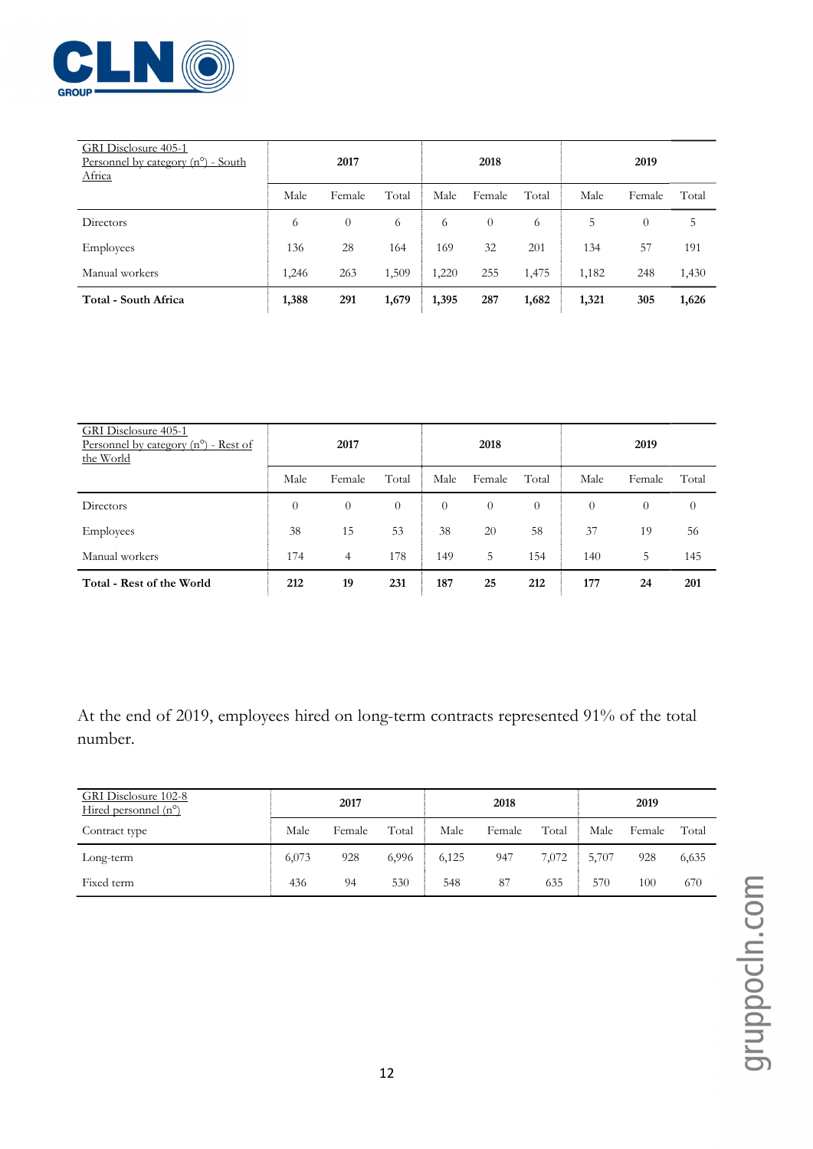

| GRI Disclosure 405-1<br>Personnel by category $(n^{\circ})$ - South<br>Africa | 2017  |          |       |       | 2018     |       | 2019  |          |       |  |
|-------------------------------------------------------------------------------|-------|----------|-------|-------|----------|-------|-------|----------|-------|--|
|                                                                               | Male  | Female   | Total | Male  | Female   | Total | Male  | Female   | Total |  |
| Directors                                                                     | 6     | $\theta$ | 6     | 6     | $\theta$ | 6     | 5     | $\theta$ | 5     |  |
| Employees                                                                     | 136   | 28       | 164   | 169   | 32       | 201   | 134   | 57       | 191   |  |
| Manual workers                                                                | 1,246 | 263      | 1,509 | 1,220 | 255      | 1,475 | 1.182 | 248      | 1,430 |  |
| Total - South Africa                                                          | 1,388 | 291      | 1,679 | 1,395 | 287      | 1,682 | 1,321 | 305      | 1,626 |  |

| GRI Disclosure 405-1<br><u>Personnel</u> by category $(n^{\circ})$ - Rest of<br>the World | 2017     |                |          |          | 2018     |          | 2019     |                  |                |  |
|-------------------------------------------------------------------------------------------|----------|----------------|----------|----------|----------|----------|----------|------------------|----------------|--|
|                                                                                           | Male     | Female         | Total    | Male     | Female   | Total    | Male     | Female           | Total          |  |
| Directors                                                                                 | $\theta$ | $\theta$       | $\theta$ | $\theta$ | $\theta$ | $\theta$ | $\theta$ | $\boldsymbol{0}$ | $\overline{0}$ |  |
| Employees                                                                                 | 38       | 15             | 53       | 38       | 20       | 58       | 37       | 19               | 56             |  |
| Manual workers                                                                            | 174      | $\overline{4}$ | 178      | 149      | 5        | 154      | 140      | 5                | 145            |  |
| Total - Rest of the World                                                                 | 212      | 19             | 231      | 187      | 25       | 212      | 177      | 24               | 201            |  |

At the end of 2019, employees hired on long-term contracts represented 91% of the total number.

| GRI Disclosure 102-8<br>Hired personnel $(n^{\circ})$ | 2017  |        |       |       | 2018   |       | 2019  |        |       |
|-------------------------------------------------------|-------|--------|-------|-------|--------|-------|-------|--------|-------|
| Contract type                                         | Male  | Female | Total | Male  | Female | Total | Male  | Female | Total |
| Long-term                                             | 6,073 | 928    | 6,996 | 6,125 | 947    | 7,072 | 5,707 | 928    | 6,635 |
| Fixed term                                            | 436   | 94     | 530   | 548   | 87     | 635   | 570   | 100    | 670   |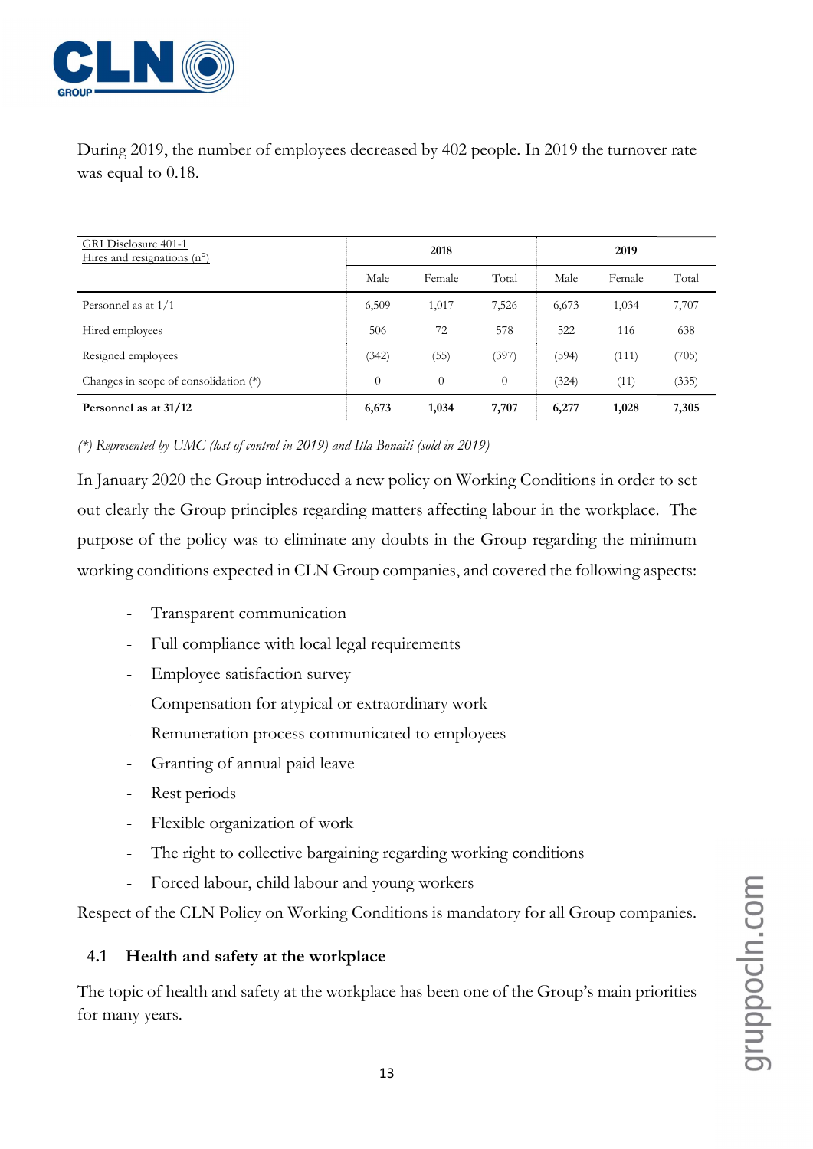

During 2019, the number of employees decreased by 402 people. In 2019 the turnover rate was equal to 0.18.

| <b>GRI</b> Disclosure 401-1<br>Hires and resignations $(n^{\circ})$ |                | 2018     |          |       | 2019   |       |
|---------------------------------------------------------------------|----------------|----------|----------|-------|--------|-------|
|                                                                     | Male           | Female   | Total    | Male  | Female | Total |
| Personnel as at $1/1$                                               | 6,509          | 1,017    | 7,526    | 6,673 | 1,034  | 7,707 |
| Hired employees                                                     | 506            | 72       | 578      | 522   | 116    | 638   |
| Resigned employees                                                  | (342)          | (55)     | (397)    | (594) | (111)  | (705) |
| Changes in scope of consolidation (*)                               | $\overline{0}$ | $\theta$ | $\theta$ | (324) | (11)   | (335) |
| Personnel as at 31/12                                               | 6,673          | 1,034    | 7,707    | 6,277 | 1,028  | 7,305 |

(\*) Represented by UMC (lost of control in 2019) and Itla Bonaiti (sold in 2019)

In January 2020 the Group introduced a new policy on Working Conditions in order to set out clearly the Group principles regarding matters affecting labour in the workplace. The purpose of the policy was to eliminate any doubts in the Group regarding the minimum working conditions expected in CLN Group companies, and covered the following aspects:

- Transparent communication
- Full compliance with local legal requirements
- Employee satisfaction survey
- Compensation for atypical or extraordinary work
- Remuneration process communicated to employees
- Granting of annual paid leave
- Rest periods
- Flexible organization of work
- The right to collective bargaining regarding working conditions
- Forced labour, child labour and young workers

Respect of the CLN Policy on Working Conditions is mandatory for all Group companies.

# 4.1 Health and safety at the workplace

The topic of health and safety at the workplace has been one of the Group's main priorities for many years.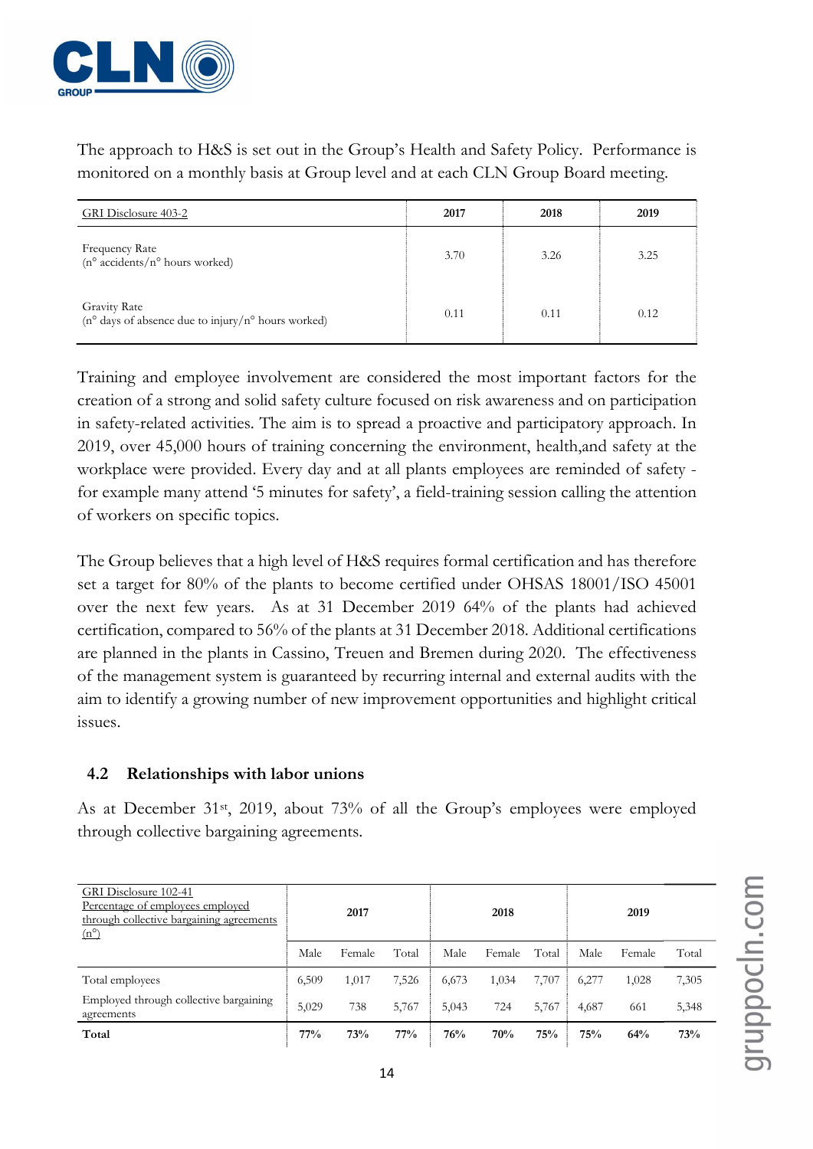

The approach to H&S is set out in the Group's Health and Safety Policy. Performance is monitored on a monthly basis at Group level and at each CLN Group Board meeting.

| GRI Disclosure 403-2                                                               | 2017 | 2018 | 2019 |
|------------------------------------------------------------------------------------|------|------|------|
| Frequency Rate<br>$(n^{\circ} \text{ accidents}/n^{\circ} \text{ hours worked})$   | 3.70 | 3.26 | 3.25 |
| <b>Gravity Rate</b><br>$(n^{\circ}$ days of absence due to injury/n° hours worked) | 0.11 | 0.11 | 0.12 |

Training and employee involvement are considered the most important factors for the creation of a strong and solid safety culture focused on risk awareness and on participation in safety-related activities. The aim is to spread a proactive and participatory approach. In 2019, over 45,000 hours of training concerning the environment, health,and safety at the workplace were provided. Every day and at all plants employees are reminded of safety for example many attend '5 minutes for safety', a field-training session calling the attention of workers on specific topics.

The Group believes that a high level of H&S requires formal certification and has therefore set a target for 80% of the plants to become certified under OHSAS 18001/ISO 45001 over the next few years. As at 31 December 2019 64% of the plants had achieved certification, compared to 56% of the plants at 31 December 2018. Additional certifications are planned in the plants in Cassino, Treuen and Bremen during 2020. The effectiveness of the management system is guaranteed by recurring internal and external audits with the aim to identify a growing number of new improvement opportunities and highlight critical issues.

#### 4.2 Relationships with labor unions

As at December 31<sup>st</sup>, 2019, about 73% of all the Group's employees were employed through collective bargaining agreements.

| GRI Disclosure 102-41<br>Percentage of employees employed<br>through collective bargaining agreements<br>$(n^{\circ})$ |       | 2017   |       |       | 2018   |       |       | 2019   |       |
|------------------------------------------------------------------------------------------------------------------------|-------|--------|-------|-------|--------|-------|-------|--------|-------|
|                                                                                                                        | Male  | Female | Total | Male  | Female | Total | Male  | Female | Total |
| Total employees                                                                                                        | 6,509 | 1,017  | 7,526 | 6,673 | 1,034  | 7,707 | 6,277 | 1,028  | 7,305 |
| Employed through collective bargaining<br>agreements                                                                   | 5,029 | 738    | 5,767 | 5,043 | 724    | 5,767 | 4,687 | 661    | 5,348 |
| Total                                                                                                                  | 77%   | 73%    | 77%   | 76%   | 70%    | 75%   | 75%   | 64%    | 73%   |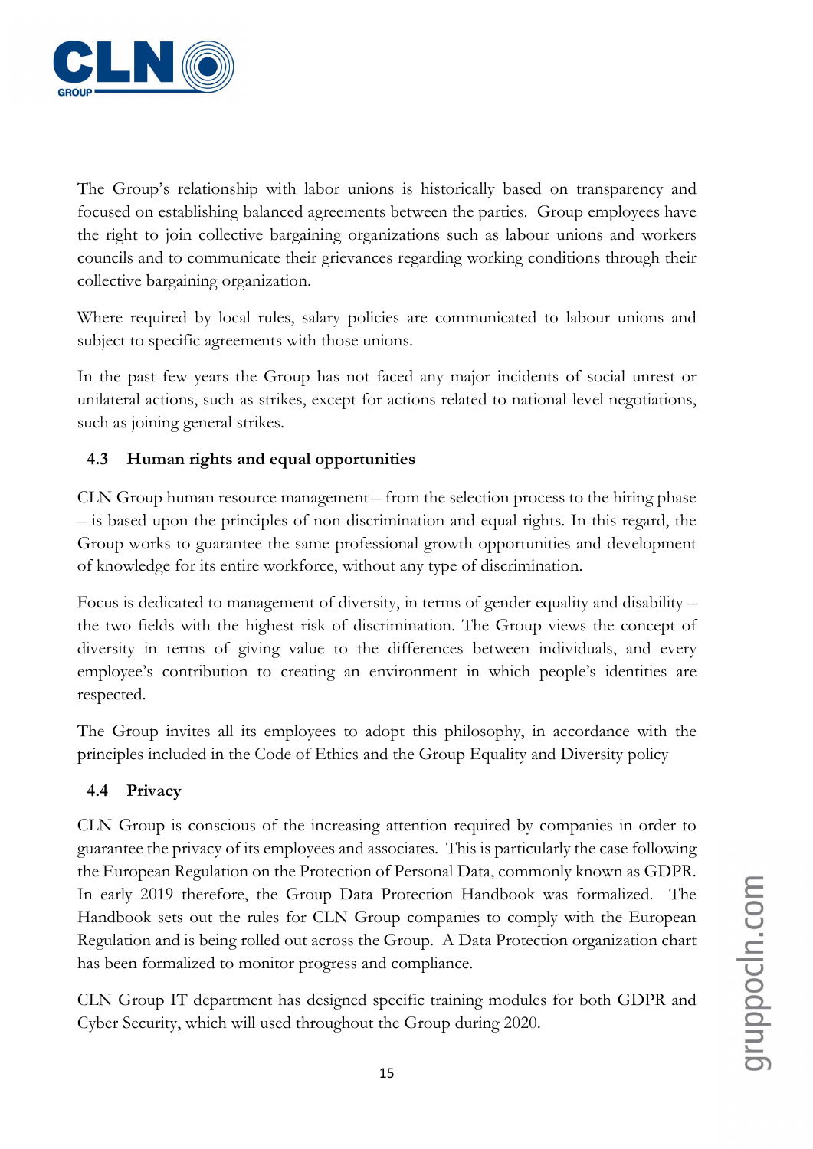

The Group's relationship with labor unions is historically based on transparency and focused on establishing balanced agreements between the parties. Group employees have the right to join collective bargaining organizations such as labour unions and workers councils and to communicate their grievances regarding working conditions through their collective bargaining organization.

Where required by local rules, salary policies are communicated to labour unions and subject to specific agreements with those unions.

In the past few years the Group has not faced any major incidents of social unrest or unilateral actions, such as strikes, except for actions related to national-level negotiations, such as joining general strikes.

# 4.3 Human rights and equal opportunities

CLN Group human resource management – from the selection process to the hiring phase – is based upon the principles of non-discrimination and equal rights. In this regard, the Group works to guarantee the same professional growth opportunities and development of knowledge for its entire workforce, without any type of discrimination.

Focus is dedicated to management of diversity, in terms of gender equality and disability – the two fields with the highest risk of discrimination. The Group views the concept of diversity in terms of giving value to the differences between individuals, and every employee's contribution to creating an environment in which people's identities are respected.

The Group invites all its employees to adopt this philosophy, in accordance with the principles included in the Code of Ethics and the Group Equality and Diversity policy

# 4.4 Privacy

CLN Group is conscious of the increasing attention required by companies in order to guarantee the privacy of its employees and associates. This is particularly the case following the European Regulation on the Protection of Personal Data, commonly known as GDPR. In early 2019 therefore, the Group Data Protection Handbook was formalized. The Handbook sets out the rules for CLN Group companies to comply with the European Regulation and is being rolled out across the Group. A Data Protection organization chart has been formalized to monitor progress and compliance.

CLN Group IT department has designed specific training modules for both GDPR and Cyber Security, which will used throughout the Group during 2020.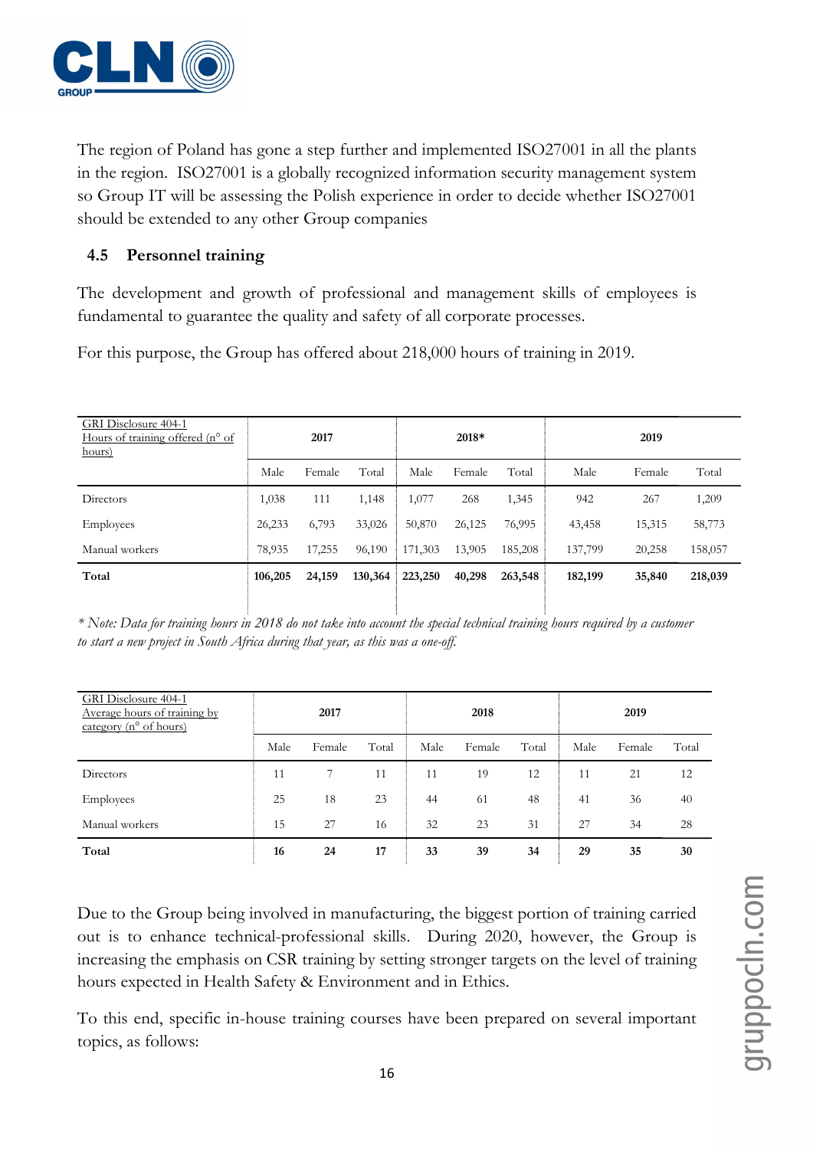

The region of Poland has gone a step further and implemented ISO27001 in all the plants in the region. ISO27001 is a globally recognized information security management system so Group IT will be assessing the Polish experience in order to decide whether ISO27001 should be extended to any other Group companies

# 4.5 Personnel training

The development and growth of professional and management skills of employees is fundamental to guarantee the quality and safety of all corporate processes.

For this purpose, the Group has offered about 218,000 hours of training in 2019.

| GRI Disclosure 404-1<br>Hours of training offered (n° of<br>hours) |         | 2017   |         |         | 2018*  |         |         | 2019   |         |
|--------------------------------------------------------------------|---------|--------|---------|---------|--------|---------|---------|--------|---------|
|                                                                    | Male    | Female | Total   | Male    | Female | Total   | Male    | Female | Total   |
| Directors                                                          | 1,038   | 111    | 1,148   | 1,077   | 268    | 1,345   | 942     | 267    | 1,209   |
| <b>Employees</b>                                                   | 26,233  | 6,793  | 33,026  | 50,870  | 26,125 | 76,995  | 43,458  | 15,315 | 58,773  |
| Manual workers                                                     | 78,935  | 17,255 | 96,190  | 171,303 | 13,905 | 185,208 | 137,799 | 20,258 | 158,057 |
| Total                                                              | 106,205 | 24,159 | 130,364 | 223,250 | 40,298 | 263,548 | 182,199 | 35,840 | 218,039 |
|                                                                    |         |        |         |         |        |         |         |        |         |

\* Note: Data for training hours in 2018 do not take into account the special technical training hours required by a customer to start a new project in South Africa during that year, as this was a one-off.

| GRI Disclosure 404-1<br>Average hours of training by<br>category ( $n^{\circ}$ of hours) | 2017 |        | 2018  |      |        | 2019  |      |        |       |
|------------------------------------------------------------------------------------------|------|--------|-------|------|--------|-------|------|--------|-------|
|                                                                                          | Male | Female | Total | Male | Female | Total | Male | Female | Total |
| Directors                                                                                | 11   |        | 11    | 11   | 19     | 12    | 11   | 21     | 12    |
| Employees                                                                                | 25   | 18     | 23    | 44   | 61     | 48    | 41   | 36     | 40    |
| Manual workers                                                                           | 15   | 27     | 16    | 32   | 23     | 31    | 27   | 34     | 28    |
| Total                                                                                    | 16   | 24     | 17    | 33   | 39     | 34    | 29   | 35     | 30    |

Due to the Group being involved in manufacturing, the biggest portion of training carried out is to enhance technical-professional skills. During 2020, however, the Group is increasing the emphasis on CSR training by setting stronger targets on the level of training hours expected in Health Safety & Environment and in Ethics.

To this end, specific in-house training courses have been prepared on several important topics, as follows: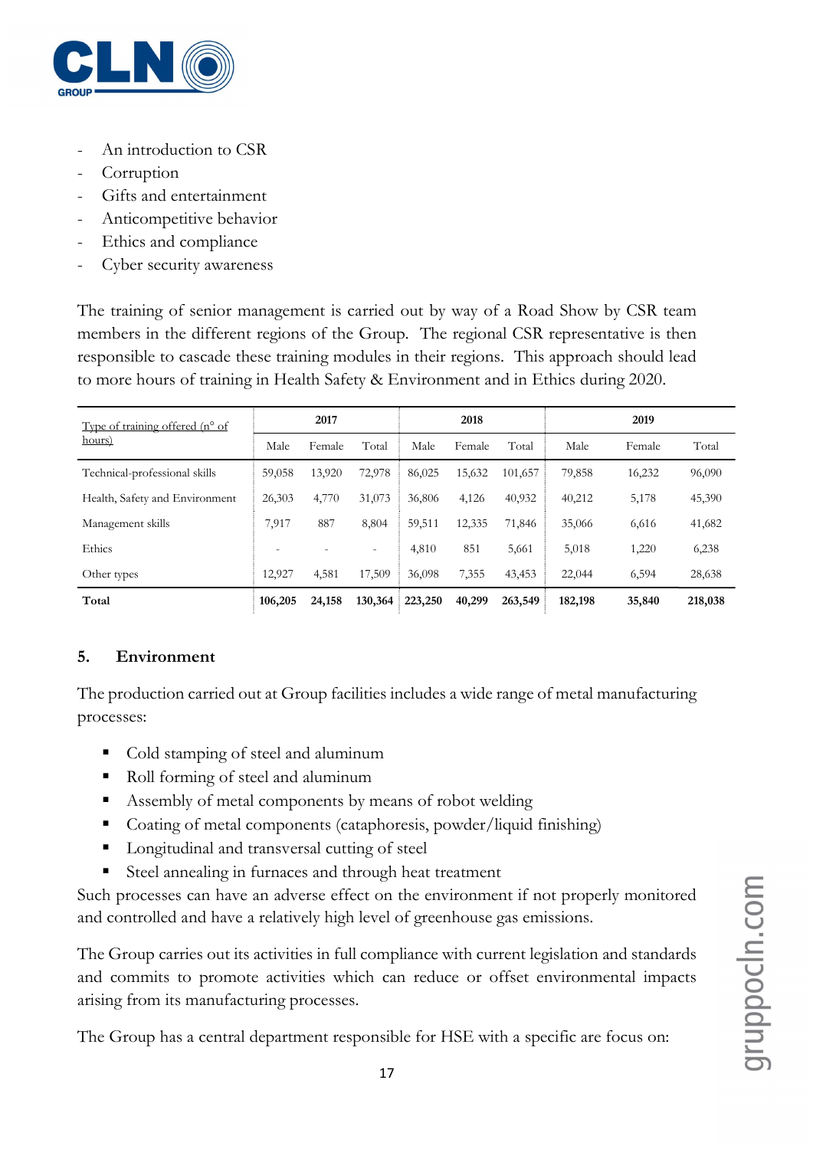

- An introduction to CSR
- **Corruption**
- Gifts and entertainment
- Anticompetitive behavior
- Ethics and compliance
- Cyber security awareness

The training of senior management is carried out by way of a Road Show by CSR team members in the different regions of the Group. The regional CSR representative is then responsible to cascade these training modules in their regions. This approach should lead to more hours of training in Health Safety & Environment and in Ethics during 2020.

| Type of training offered $(n^{\circ}$ of<br>hours) |                          | 2017   |                          |         | 2018   |         |         | 2019   |         |  |
|----------------------------------------------------|--------------------------|--------|--------------------------|---------|--------|---------|---------|--------|---------|--|
|                                                    | Male                     | Female | Total                    | Male    | Female | Total   | Male    | Female | Total   |  |
| Technical-professional skills                      | 59,058                   | 13,920 | 72,978                   | 86,025  | 15,632 | 101,657 | 79,858  | 16,232 | 96,090  |  |
| Health, Safety and Environment                     | 26,303                   | 4,770  | 31,073                   | 36,806  | 4,126  | 40,932  | 40,212  | 5,178  | 45,390  |  |
| Management skills                                  | 7,917                    | 887    | 8,804                    | 59,511  | 12,335 | 71,846  | 35,066  | 6,616  | 41,682  |  |
| Ethics                                             | $\overline{\phantom{a}}$ |        | $\overline{\phantom{a}}$ | 4,810   | 851    | 5,661   | 5,018   | 1,220  | 6,238   |  |
| Other types                                        | 12,927                   | 4,581  | 17,509                   | 36,098  | 7,355  | 43,453  | 22,044  | 6,594  | 28,638  |  |
| Total                                              | 106,205                  | 24,158 | 130,364                  | 223,250 | 40,299 | 263,549 | 182,198 | 35,840 | 218,038 |  |

# 5. Environment

The production carried out at Group facilities includes a wide range of metal manufacturing processes:

- Cold stamping of steel and aluminum
- Roll forming of steel and aluminum
- Assembly of metal components by means of robot welding
- Coating of metal components (cataphoresis, powder/liquid finishing)
- **Longitudinal and transversal cutting of steel**
- Steel annealing in furnaces and through heat treatment

Such processes can have an adverse effect on the environment if not properly monitored and controlled and have a relatively high level of greenhouse gas emissions.

The Group carries out its activities in full compliance with current legislation and standards and commits to promote activities which can reduce or offset environmental impacts arising from its manufacturing processes.

The Group has a central department responsible for HSE with a specific are focus on: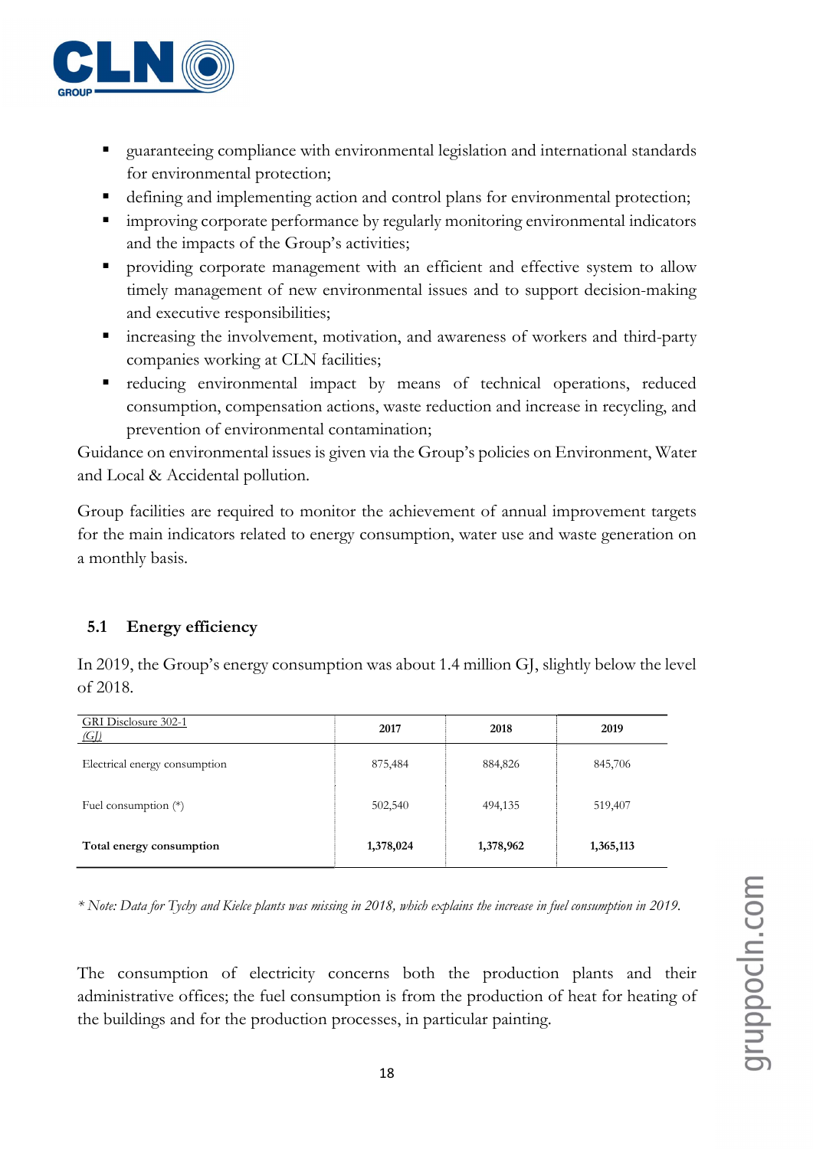

- guaranteeing compliance with environmental legislation and international standards for environmental protection;
- defining and implementing action and control plans for environmental protection;
- **Interproving corporate performance by regularly monitoring environmental indicators** and the impacts of the Group's activities;
- providing corporate management with an efficient and effective system to allow timely management of new environmental issues and to support decision-making and executive responsibilities;
- increasing the involvement, motivation, and awareness of workers and third-party companies working at CLN facilities;
- reducing environmental impact by means of technical operations, reduced consumption, compensation actions, waste reduction and increase in recycling, and prevention of environmental contamination;

Guidance on environmental issues is given via the Group's policies on Environment, Water and Local & Accidental pollution.

Group facilities are required to monitor the achievement of annual improvement targets for the main indicators related to energy consumption, water use and waste generation on a monthly basis.

# 5.1 Energy efficiency

| GRI Disclosure 302-1<br>$\left(\frac{G}{L}\right)$ | 2017      | 2018      | 2019      |
|----------------------------------------------------|-----------|-----------|-----------|
| Electrical energy consumption                      | 875,484   | 884,826   | 845,706   |
| Fuel consumption $(*)$                             | 502,540   | 494,135   | 519,407   |
| Total energy consumption                           | 1,378,024 | 1,378,962 | 1,365,113 |

In 2019, the Group's energy consumption was about 1.4 million GJ, slightly below the level of 2018.

\* Note: Data for Tychy and Kielce plants was missing in 2018, which explains the increase in fuel consumption in 2019.

The consumption of electricity concerns both the production plants and their administrative offices; the fuel consumption is from the production of heat for heating of the buildings and for the production processes, in particular painting.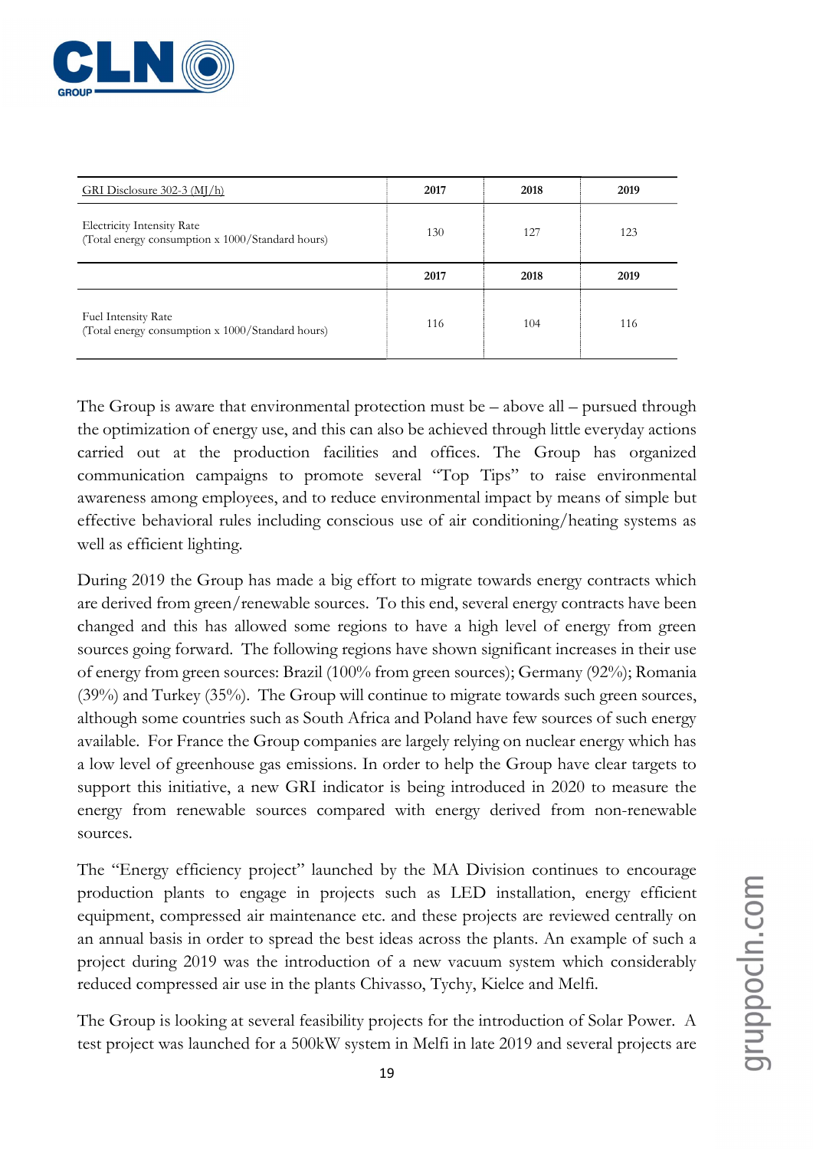

| GRI Disclosure $302-3$ (MJ/h)                                                         | 2017 | 2018 | 2019 |
|---------------------------------------------------------------------------------------|------|------|------|
| <b>Electricity Intensity Rate</b><br>(Total energy consumption x 1000/Standard hours) | 130  | 127  | 123  |
|                                                                                       | 2017 | 2018 | 2019 |
| Fuel Intensity Rate<br>(Total energy consumption x 1000/Standard hours)               | 116  | 104  | 116  |

The Group is aware that environmental protection must be – above all – pursued through the optimization of energy use, and this can also be achieved through little everyday actions carried out at the production facilities and offices. The Group has organized communication campaigns to promote several "Top Tips" to raise environmental awareness among employees, and to reduce environmental impact by means of simple but effective behavioral rules including conscious use of air conditioning/heating systems as well as efficient lighting.

During 2019 the Group has made a big effort to migrate towards energy contracts which are derived from green/renewable sources. To this end, several energy contracts have been changed and this has allowed some regions to have a high level of energy from green sources going forward. The following regions have shown significant increases in their use of energy from green sources: Brazil (100% from green sources); Germany (92%); Romania (39%) and Turkey (35%). The Group will continue to migrate towards such green sources, although some countries such as South Africa and Poland have few sources of such energy available. For France the Group companies are largely relying on nuclear energy which has a low level of greenhouse gas emissions. In order to help the Group have clear targets to support this initiative, a new GRI indicator is being introduced in 2020 to measure the energy from renewable sources compared with energy derived from non-renewable sources.

The "Energy efficiency project" launched by the MA Division continues to encourage production plants to engage in projects such as LED installation, energy efficient equipment, compressed air maintenance etc. and these projects are reviewed centrally on an annual basis in order to spread the best ideas across the plants. An example of such a project during 2019 was the introduction of a new vacuum system which considerably reduced compressed air use in the plants Chivasso, Tychy, Kielce and Melfi.

The Group is looking at several feasibility projects for the introduction of Solar Power. A test project was launched for a 500kW system in Melfi in late 2019 and several projects are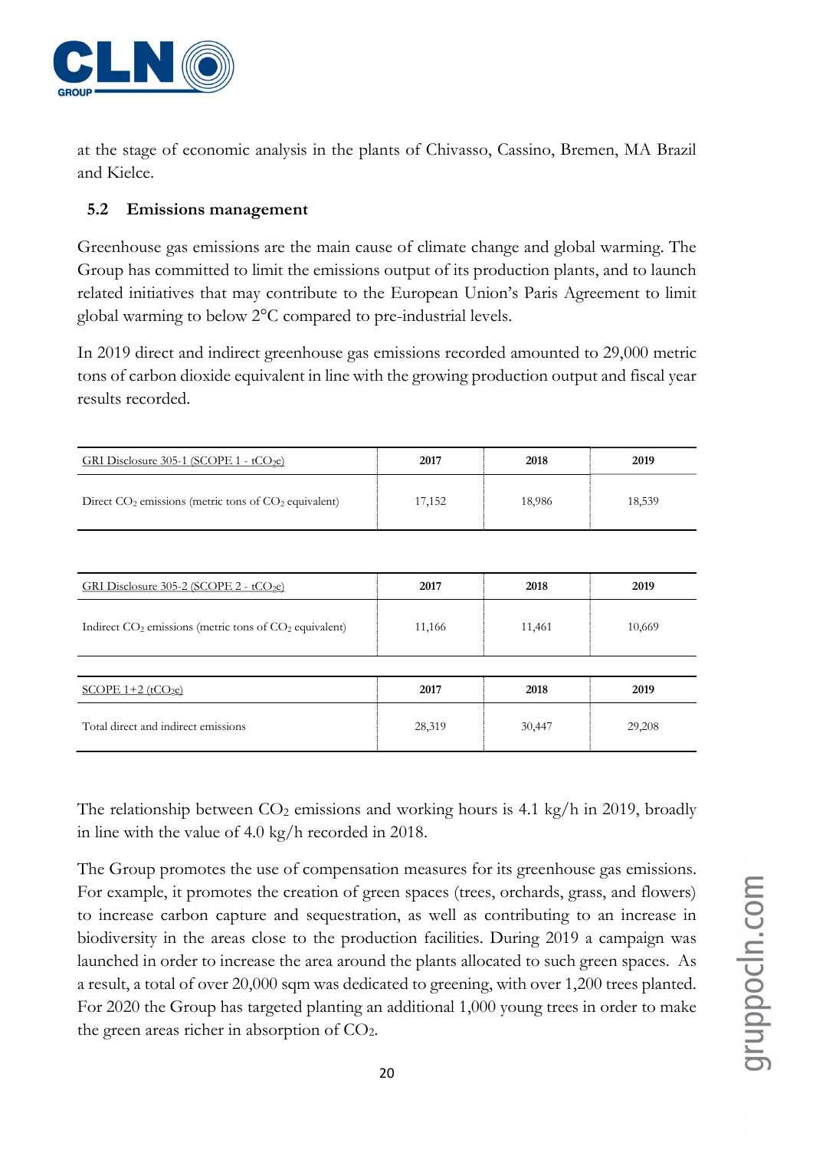

at the stage of economic analysis in the plants of Chivasso, Cassino, Bremen, MA Brazil and Kielce.

### 5.2 Emissions management

Greenhouse gas emissions are the main cause of climate change and global warming. The Group has committed to limit the emissions output of its production plants, and to launch related initiatives that may contribute to the European Union's Paris Agreement to limit global warming to below 2°C compared to pre-industrial levels.

In 2019 direct and indirect greenhouse gas emissions recorded amounted to 29,000 metric tons of carbon dioxide equivalent in line with the growing production output and fiscal year results recorded.

| GRI Disclosure 305-1 (SCOPE 1 - $tCO2e$ )                | 2017   | 2018   | 2019   |
|----------------------------------------------------------|--------|--------|--------|
| Direct $CO2$ emissions (metric tons of $CO2$ equivalent) | 17,152 | 18,986 | 18,539 |

| GRI Disclosure $305-2$ (SCOPE 2 - tCO <sub>2</sub> e)      | 2017   | 2018   | 2019   |
|------------------------------------------------------------|--------|--------|--------|
| Indirect $CO2$ emissions (metric tons of $CO2$ equivalent) | 11,166 | 11,461 | 10,669 |
|                                                            |        |        |        |
| SCOPE $1+2$ (tCO <sub>2</sub> e)                           | 2017   | 2018   | 2019   |
| Total direct and indirect emissions                        | 28,319 | 30,447 | 29,208 |

The relationship between  $CO<sub>2</sub>$  emissions and working hours is 4.1 kg/h in 2019, broadly in line with the value of 4.0 kg/h recorded in 2018.

The Group promotes the use of compensation measures for its greenhouse gas emissions. For example, it promotes the creation of green spaces (trees, orchards, grass, and flowers) to increase carbon capture and sequestration, as well as contributing to an increase in biodiversity in the areas close to the production facilities. During 2019 a campaign was launched in order to increase the area around the plants allocated to such green spaces. As a result, a total of over 20,000 sqm was dedicated to greening, with over 1,200 trees planted. For 2020 the Group has targeted planting an additional 1,000 young trees in order to make the green areas richer in absorption of  $CO<sub>2</sub>$ .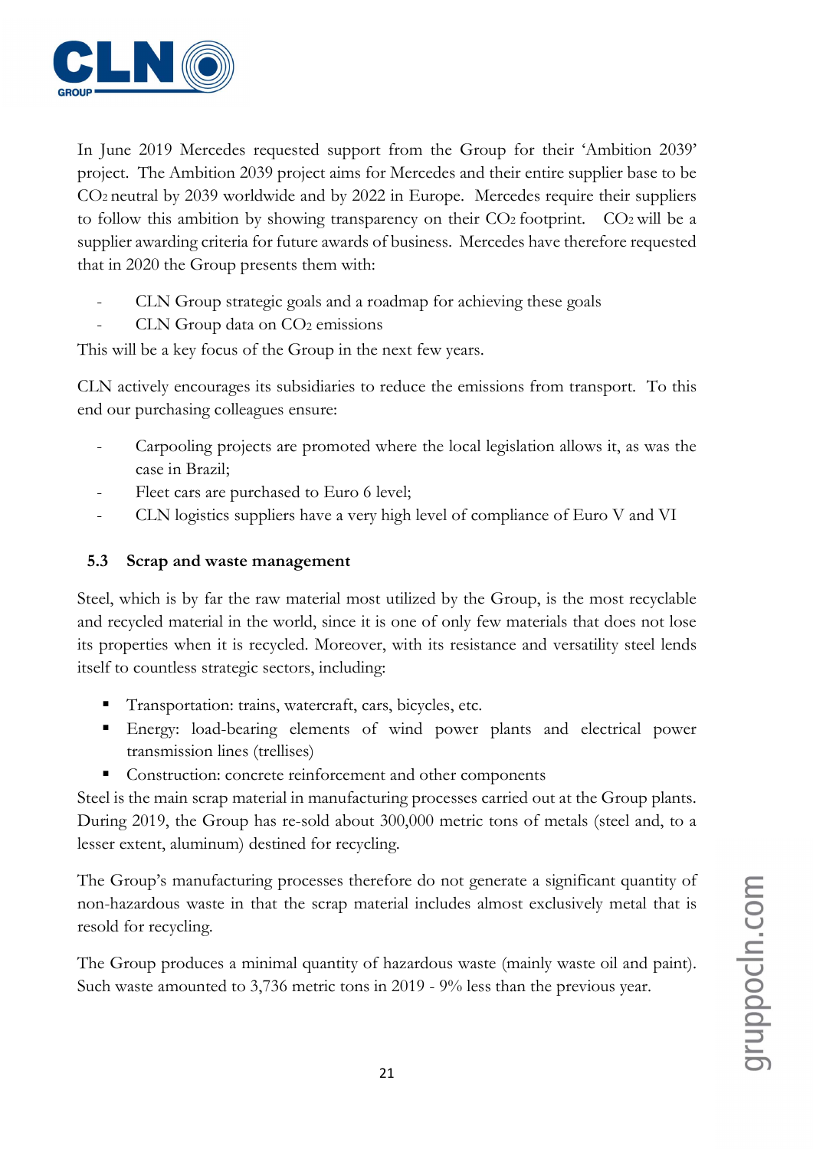

In June 2019 Mercedes requested support from the Group for their 'Ambition 2039' project. The Ambition 2039 project aims for Mercedes and their entire supplier base to be CO2 neutral by 2039 worldwide and by 2022 in Europe. Mercedes require their suppliers to follow this ambition by showing transparency on their CO2 footprint. CO2 will be a supplier awarding criteria for future awards of business. Mercedes have therefore requested that in 2020 the Group presents them with:

- CLN Group strategic goals and a roadmap for achieving these goals
- CLN Group data on  $CO<sub>2</sub>$  emissions

This will be a key focus of the Group in the next few years.

CLN actively encourages its subsidiaries to reduce the emissions from transport. To this end our purchasing colleagues ensure:

- Carpooling projects are promoted where the local legislation allows it, as was the case in Brazil;
- Fleet cars are purchased to Euro 6 level;
- CLN logistics suppliers have a very high level of compliance of Euro V and VI

# 5.3 Scrap and waste management

Steel, which is by far the raw material most utilized by the Group, is the most recyclable and recycled material in the world, since it is one of only few materials that does not lose its properties when it is recycled. Moreover, with its resistance and versatility steel lends itself to countless strategic sectors, including:

- Transportation: trains, watercraft, cars, bicycles, etc.
- Energy: load-bearing elements of wind power plants and electrical power transmission lines (trellises)
- Construction: concrete reinforcement and other components

Steel is the main scrap material in manufacturing processes carried out at the Group plants. During 2019, the Group has re-sold about 300,000 metric tons of metals (steel and, to a lesser extent, aluminum) destined for recycling.

The Group's manufacturing processes therefore do not generate a significant quantity of non-hazardous waste in that the scrap material includes almost exclusively metal that is resold for recycling.

The Group produces a minimal quantity of hazardous waste (mainly waste oil and paint). Such waste amounted to 3,736 metric tons in 2019 - 9% less than the previous year.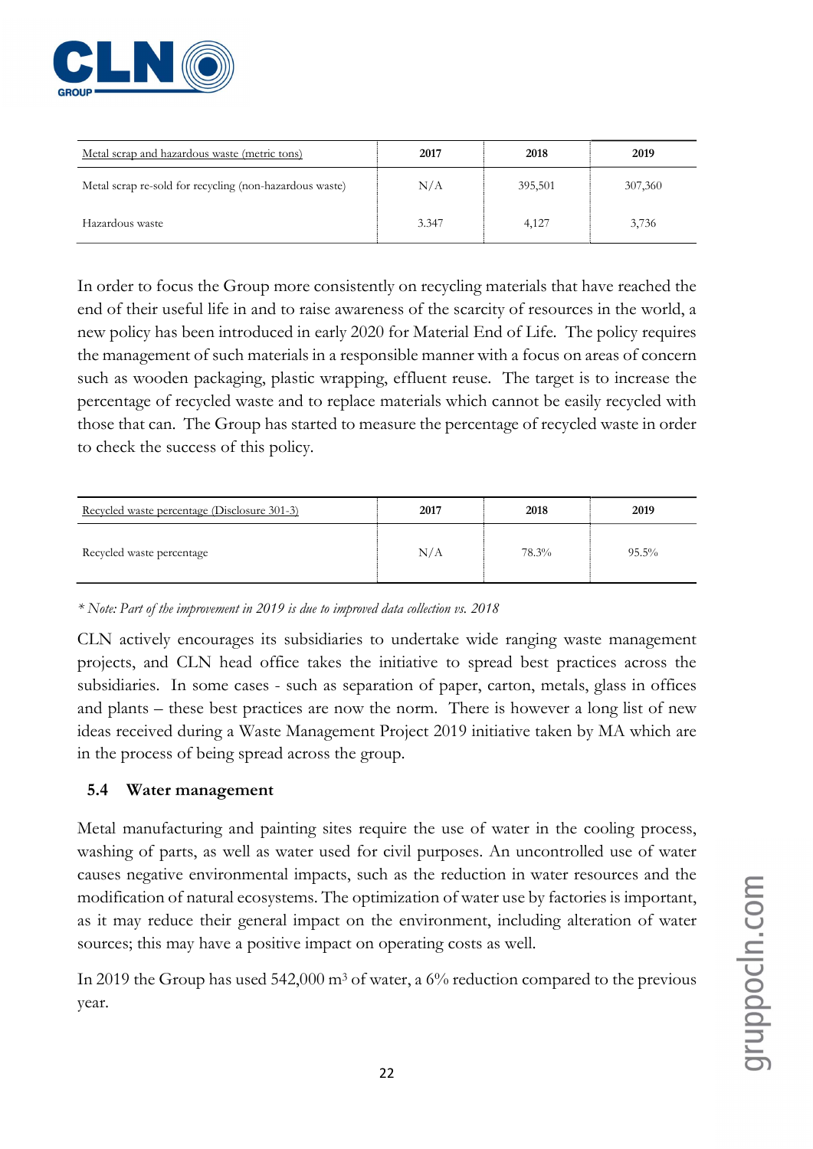

| Metal scrap and hazardous waste (metric tons)           | 2017  | 2018    | 2019    |
|---------------------------------------------------------|-------|---------|---------|
| Metal scrap re-sold for recycling (non-hazardous waste) | N/A   | 395,501 | 307,360 |
| Hazardous waste                                         | 3.347 | 4,127   | 3,736   |

In order to focus the Group more consistently on recycling materials that have reached the end of their useful life in and to raise awareness of the scarcity of resources in the world, a new policy has been introduced in early 2020 for Material End of Life. The policy requires the management of such materials in a responsible manner with a focus on areas of concern such as wooden packaging, plastic wrapping, effluent reuse. The target is to increase the percentage of recycled waste and to replace materials which cannot be easily recycled with those that can. The Group has started to measure the percentage of recycled waste in order to check the success of this policy.

| Recycled waste percentage (Disclosure 301-3) | 2017 | 2018  | 2019     |
|----------------------------------------------|------|-------|----------|
| Recycled waste percentage                    | N/A  | 78.3% | $95.5\%$ |

\* Note: Part of the improvement in 2019 is due to improved data collection vs. 2018

CLN actively encourages its subsidiaries to undertake wide ranging waste management projects, and CLN head office takes the initiative to spread best practices across the subsidiaries. In some cases - such as separation of paper, carton, metals, glass in offices and plants – these best practices are now the norm. There is however a long list of new ideas received during a Waste Management Project 2019 initiative taken by MA which are in the process of being spread across the group.

# 5.4 Water management

Metal manufacturing and painting sites require the use of water in the cooling process, washing of parts, as well as water used for civil purposes. An uncontrolled use of water causes negative environmental impacts, such as the reduction in water resources and the modification of natural ecosystems. The optimization of water use by factories is important, as it may reduce their general impact on the environment, including alteration of water sources; this may have a positive impact on operating costs as well.

In 2019 the Group has used 542,000 m<sup>3</sup> of water, a 6% reduction compared to the previous year.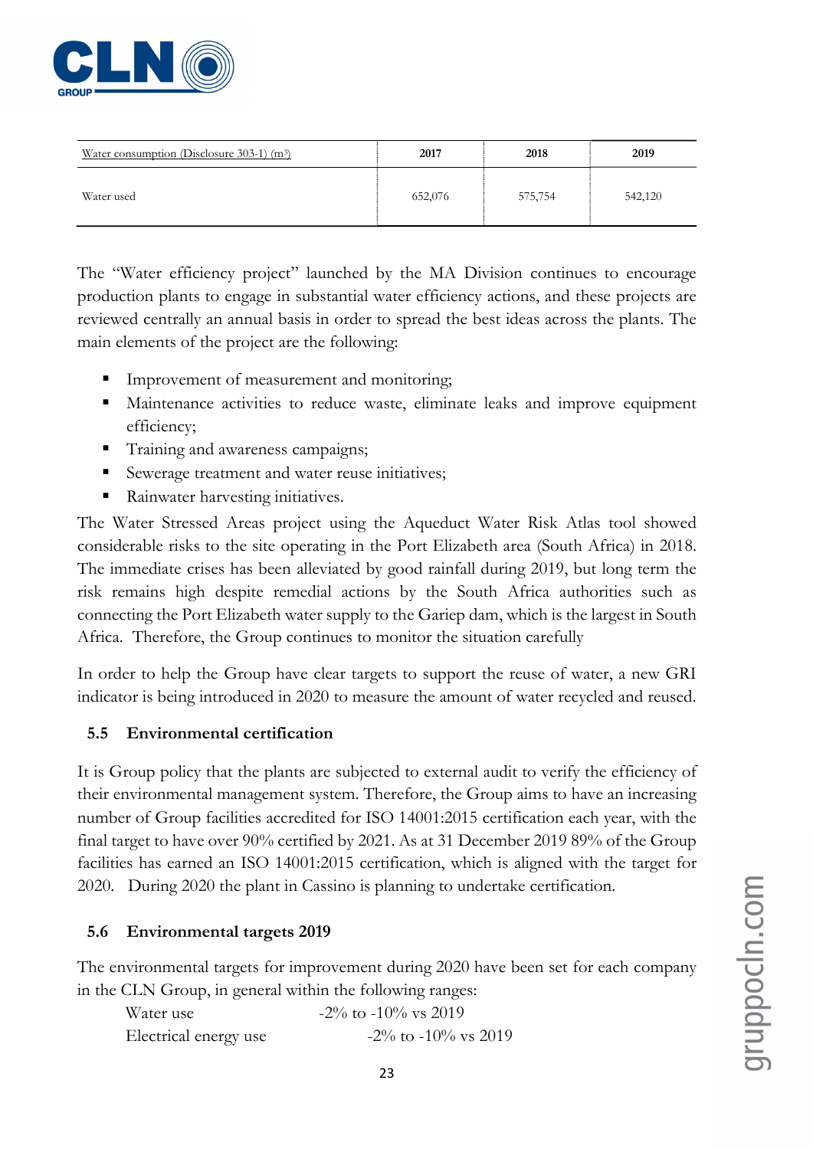

| Water consumption (Disclosure $303-1$ ) (m <sup>3</sup> ) | 2017    | 2018    | 2019    |
|-----------------------------------------------------------|---------|---------|---------|
| Water used                                                | 652,076 | 575,754 | 542,120 |

The "Water efficiency project" launched by the MA Division continues to encourage production plants to engage in substantial water efficiency actions, and these projects are reviewed centrally an annual basis in order to spread the best ideas across the plants. The main elements of the project are the following:

- Improvement of measurement and monitoring;
- Maintenance activities to reduce waste, eliminate leaks and improve equipment efficiency;
- **Training and awareness campaigns;**
- Sewerage treatment and water reuse initiatives;
- Rainwater harvesting initiatives.

The Water Stressed Areas project using the Aqueduct Water Risk Atlas tool showed considerable risks to the site operating in the Port Elizabeth area (South Africa) in 2018. The immediate crises has been alleviated by good rainfall during 2019, but long term the risk remains high despite remedial actions by the South Africa authorities such as connecting the Port Elizabeth water supply to the Gariep dam, which is the largest in South Africa. Therefore, the Group continues to monitor the situation carefully

In order to help the Group have clear targets to support the reuse of water, a new GRI indicator is being introduced in 2020 to measure the amount of water recycled and reused.

# 5.5 Environmental certification

It is Group policy that the plants are subjected to external audit to verify the efficiency of their environmental management system. Therefore, the Group aims to have an increasing number of Group facilities accredited for ISO 14001:2015 certification each year, with the final target to have over 90% certified by 2021. As at 31 December 2019 89% of the Group facilities has earned an ISO 14001:2015 certification, which is aligned with the target for 2020. During 2020 the plant in Cassino is planning to undertake certification.

# 5.6 Environmental targets 2019

The environmental targets for improvement during 2020 have been set for each company in the CLN Group, in general within the following ranges:

| Water use             | $-2\%$ to $-10\%$ vs 2019 |
|-----------------------|---------------------------|
| Electrical energy use | $-2\%$ to $-10\%$ vs 2019 |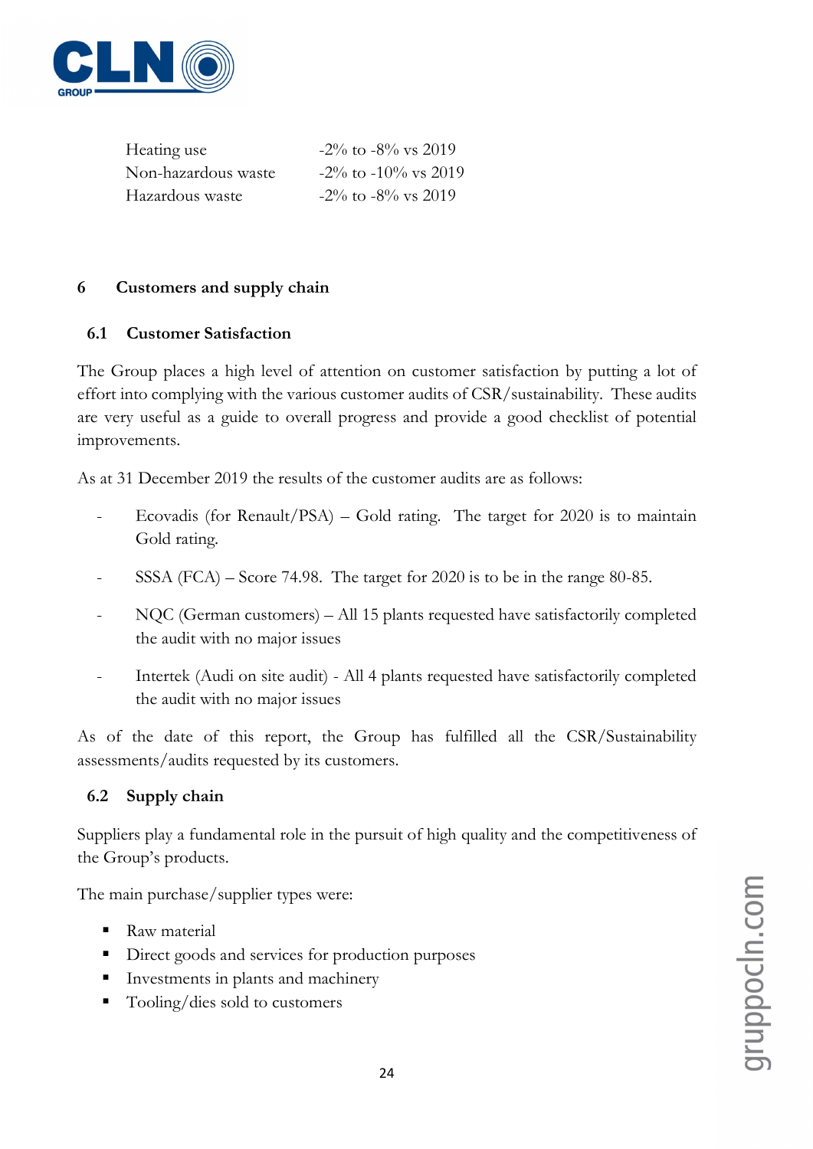

| Heating use         | $-2\%$ to $-8\%$ vs 2019  |
|---------------------|---------------------------|
| Non-hazardous waste | $-2\%$ to $-10\%$ vs 2019 |
| Hazardous waste     | $-2\%$ to $-8\%$ vs 2019  |

# 6 Customers and supply chain

# 6.1 Customer Satisfaction

The Group places a high level of attention on customer satisfaction by putting a lot of effort into complying with the various customer audits of CSR/sustainability. These audits are very useful as a guide to overall progress and provide a good checklist of potential improvements.

As at 31 December 2019 the results of the customer audits are as follows:

- Ecovadis (for Renault/PSA) Gold rating. The target for  $2020$  is to maintain Gold rating.
- $SSSA (FCA) Score$  74.98. The target for 2020 is to be in the range 80-85.
- NQC (German customers) All 15 plants requested have satisfactorily completed the audit with no major issues
- Intertek (Audi on site audit) All 4 plants requested have satisfactorily completed the audit with no major issues

As of the date of this report, the Group has fulfilled all the CSR/Sustainability assessments/audits requested by its customers.

# 6.2 Supply chain

Suppliers play a fundamental role in the pursuit of high quality and the competitiveness of the Group's products.

The main purchase/supplier types were:

- Raw material
- Direct goods and services for production purposes
- Investments in plants and machinery
- Tooling/dies sold to customers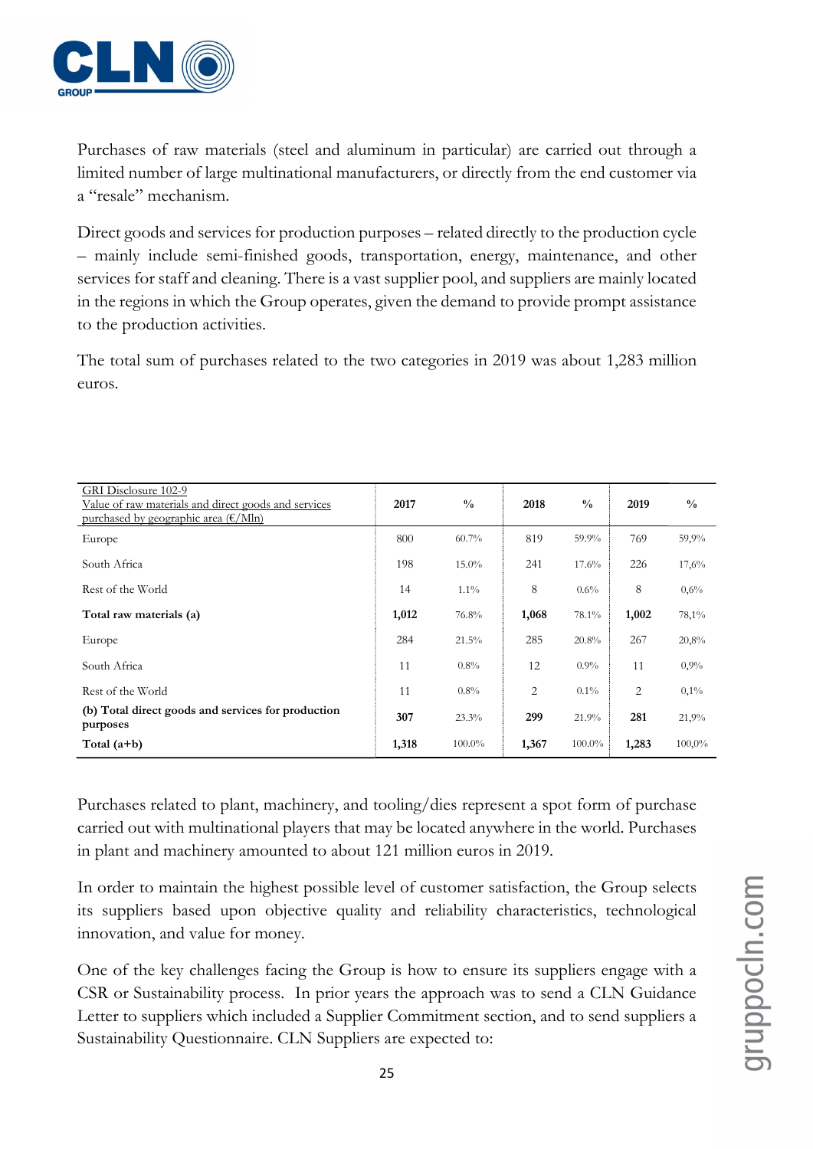

Purchases of raw materials (steel and aluminum in particular) are carried out through a limited number of large multinational manufacturers, or directly from the end customer via a "resale" mechanism.

Direct goods and services for production purposes – related directly to the production cycle – mainly include semi-finished goods, transportation, energy, maintenance, and other services for staff and cleaning. There is a vast supplier pool, and suppliers are mainly located in the regions in which the Group operates, given the demand to provide prompt assistance to the production activities.

The total sum of purchases related to the two categories in 2019 was about 1,283 million euros.

| GRI Disclosure 102-9<br>Value of raw materials and direct goods and services<br>purchased by geographic area $(\frac{\varepsilon}{M}n)$ | 2017  | $\frac{0}{0}$ | 2018  | $\frac{0}{0}$ | 2019  | $\frac{0}{0}$ |
|-----------------------------------------------------------------------------------------------------------------------------------------|-------|---------------|-------|---------------|-------|---------------|
| Europe                                                                                                                                  | 800   | $60.7\%$      | 819   | 59.9%         | 769   | 59,9%         |
| South Africa                                                                                                                            | 198   | $15.0\%$      | 241   | 17.6%         | 226   | 17,6%         |
| Rest of the World                                                                                                                       | 14    | $1.1\%$       | 8     | 0.6%          | 8     | 0,6%          |
| Total raw materials (a)                                                                                                                 | 1,012 | 76.8%         | 1,068 | 78.1%         | 1,002 | 78,1%         |
| Europe                                                                                                                                  | 284   | 21.5%         | 285   | 20.8%         | 267   | 20,8%         |
| South Africa                                                                                                                            | 11    | $0.8\%$       | 12    | $0.9\%$       | 11    | 0,9%          |
| Rest of the World                                                                                                                       | 11    | $0.8\%$       | 2     | $0.1\%$       | 2     | 0,1%          |
| (b) Total direct goods and services for production<br>purposes                                                                          | 307   | 23.3%         | 299   | 21.9%         | 281   | 21,9%         |
| Total $(a+b)$                                                                                                                           | 1,318 | 100.0%        | 1,367 | 100.0%        | 1,283 | 100,0%        |

Purchases related to plant, machinery, and tooling/dies represent a spot form of purchase carried out with multinational players that may be located anywhere in the world. Purchases in plant and machinery amounted to about 121 million euros in 2019.

In order to maintain the highest possible level of customer satisfaction, the Group selects its suppliers based upon objective quality and reliability characteristics, technological innovation, and value for money.

One of the key challenges facing the Group is how to ensure its suppliers engage with a CSR or Sustainability process. In prior years the approach was to send a CLN Guidance Letter to suppliers which included a Supplier Commitment section, and to send suppliers a Sustainability Questionnaire. CLN Suppliers are expected to: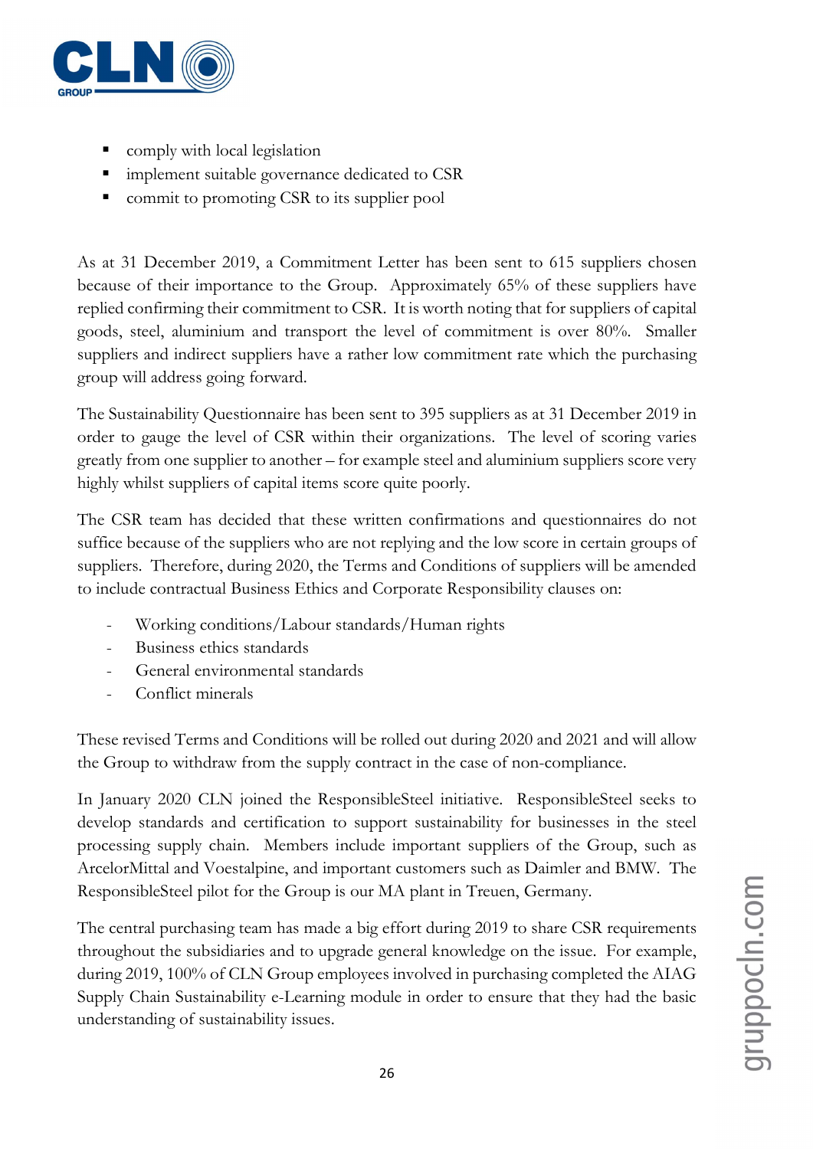

- comply with local legislation
- **Indement suitable governance dedicated to CSR**
- **COMP** commit to promoting CSR to its supplier pool

As at 31 December 2019, a Commitment Letter has been sent to 615 suppliers chosen because of their importance to the Group. Approximately 65% of these suppliers have replied confirming their commitment to CSR. It is worth noting that for suppliers of capital goods, steel, aluminium and transport the level of commitment is over 80%. Smaller suppliers and indirect suppliers have a rather low commitment rate which the purchasing group will address going forward.

The Sustainability Questionnaire has been sent to 395 suppliers as at 31 December 2019 in order to gauge the level of CSR within their organizations. The level of scoring varies greatly from one supplier to another – for example steel and aluminium suppliers score very highly whilst suppliers of capital items score quite poorly.

The CSR team has decided that these written confirmations and questionnaires do not suffice because of the suppliers who are not replying and the low score in certain groups of suppliers. Therefore, during 2020, the Terms and Conditions of suppliers will be amended to include contractual Business Ethics and Corporate Responsibility clauses on:

- Working conditions/Labour standards/Human rights
- Business ethics standards
- General environmental standards
- Conflict minerals

These revised Terms and Conditions will be rolled out during 2020 and 2021 and will allow the Group to withdraw from the supply contract in the case of non-compliance.

In January 2020 CLN joined the ResponsibleSteel initiative. ResponsibleSteel seeks to develop standards and certification to support sustainability for businesses in the steel processing supply chain. Members include important suppliers of the Group, such as ArcelorMittal and Voestalpine, and important customers such as Daimler and BMW. The ResponsibleSteel pilot for the Group is our MA plant in Treuen, Germany.

The central purchasing team has made a big effort during 2019 to share CSR requirements throughout the subsidiaries and to upgrade general knowledge on the issue. For example, during 2019, 100% of CLN Group employees involved in purchasing completed the AIAG Supply Chain Sustainability e-Learning module in order to ensure that they had the basic understanding of sustainability issues.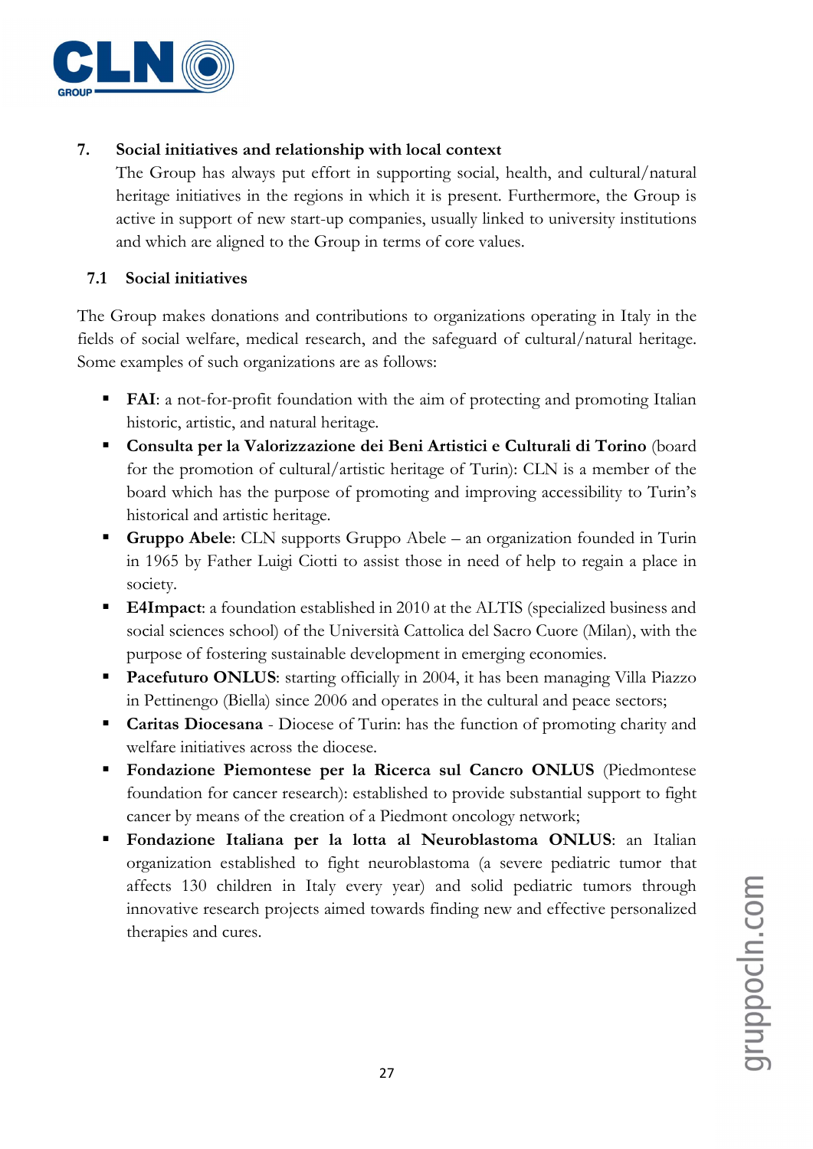

# 7. Social initiatives and relationship with local context

The Group has always put effort in supporting social, health, and cultural/natural heritage initiatives in the regions in which it is present. Furthermore, the Group is active in support of new start-up companies, usually linked to university institutions and which are aligned to the Group in terms of core values.

### 7.1 Social initiatives

The Group makes donations and contributions to organizations operating in Italy in the fields of social welfare, medical research, and the safeguard of cultural/natural heritage. Some examples of such organizations are as follows:

- FAI: a not-for-profit foundation with the aim of protecting and promoting Italian historic, artistic, and natural heritage.
- Consulta per la Valorizzazione dei Beni Artistici e Culturali di Torino (board for the promotion of cultural/artistic heritage of Turin): CLN is a member of the board which has the purpose of promoting and improving accessibility to Turin's historical and artistic heritage.
- Gruppo Abele: CLN supports Gruppo Abele an organization founded in Turin in 1965 by Father Luigi Ciotti to assist those in need of help to regain a place in society.
- **E4Impact**: a foundation established in 2010 at the ALTIS (specialized business and social sciences school) of the Università Cattolica del Sacro Cuore (Milan), with the purpose of fostering sustainable development in emerging economies.
- **Pacefuturo ONLUS:** starting officially in 2004, it has been managing Villa Piazzo in Pettinengo (Biella) since 2006 and operates in the cultural and peace sectors;
- Caritas Diocesana Diocese of Turin: has the function of promoting charity and welfare initiatives across the diocese.
- Fondazione Piemontese per la Ricerca sul Cancro ONLUS (Piedmontese foundation for cancer research): established to provide substantial support to fight cancer by means of the creation of a Piedmont oncology network;
- Fondazione Italiana per la lotta al Neuroblastoma ONLUS: an Italian organization established to fight neuroblastoma (a severe pediatric tumor that affects 130 children in Italy every year) and solid pediatric tumors through innovative research projects aimed towards finding new and effective personalized therapies and cures.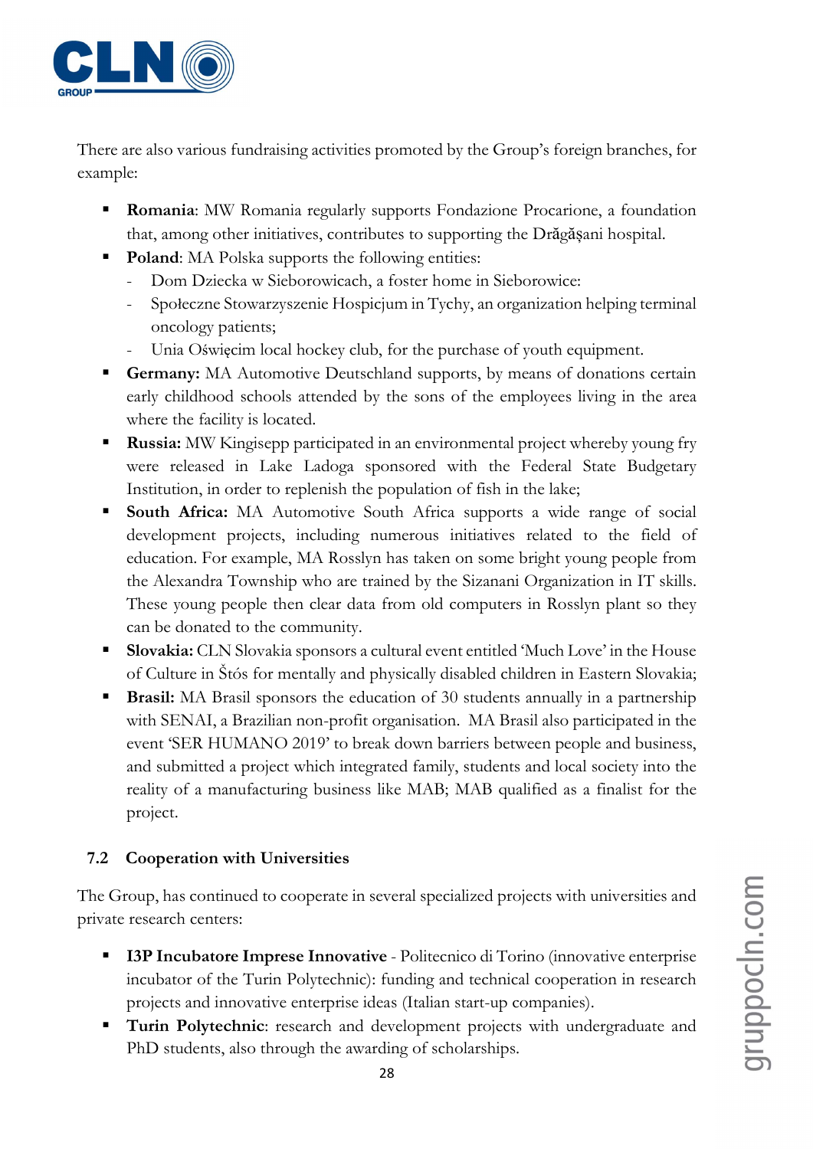

There are also various fundraising activities promoted by the Group's foreign branches, for example:

- **Romania:** MW Romania regularly supports Fondazione Procarione, a foundation that, among other initiatives, contributes to supporting the Drăgășani hospital.
- Poland: MA Polska supports the following entities:
	- Dom Dziecka w Sieborowicach, a foster home in Sieborowice:
	- Społeczne Stowarzyszenie Hospicjum in Tychy, an organization helping terminal oncology patients;
	- Unia Oświęcim local hockey club, for the purchase of youth equipment.
- Germany: MA Automotive Deutschland supports, by means of donations certain early childhood schools attended by the sons of the employees living in the area where the facility is located.
- **Russia:** MW Kingisepp participated in an environmental project whereby young fry were released in Lake Ladoga sponsored with the Federal State Budgetary Institution, in order to replenish the population of fish in the lake;
- **South Africa:** MA Automotive South Africa supports a wide range of social development projects, including numerous initiatives related to the field of education. For example, MA Rosslyn has taken on some bright young people from the Alexandra Township who are trained by the Sizanani Organization in IT skills. These young people then clear data from old computers in Rosslyn plant so they can be donated to the community.
- **Slovakia:** CLN Slovakia sponsors a cultural event entitled 'Much Love' in the House of Culture in Štós for mentally and physically disabled children in Eastern Slovakia;
- **Brasil:** MA Brasil sponsors the education of 30 students annually in a partnership with SENAI, a Brazilian non-profit organisation. MA Brasil also participated in the event 'SER HUMANO 2019' to break down barriers between people and business, and submitted a project which integrated family, students and local society into the reality of a manufacturing business like MAB; MAB qualified as a finalist for the project.

# 7.2 Cooperation with Universities

The Group, has continued to cooperate in several specialized projects with universities and private research centers:

- **I3P Incubatore Imprese Innovative** Politecnico di Torino (innovative enterprise incubator of the Turin Polytechnic): funding and technical cooperation in research projects and innovative enterprise ideas (Italian start-up companies).
- Turin Polytechnic: research and development projects with undergraduate and PhD students, also through the awarding of scholarships.